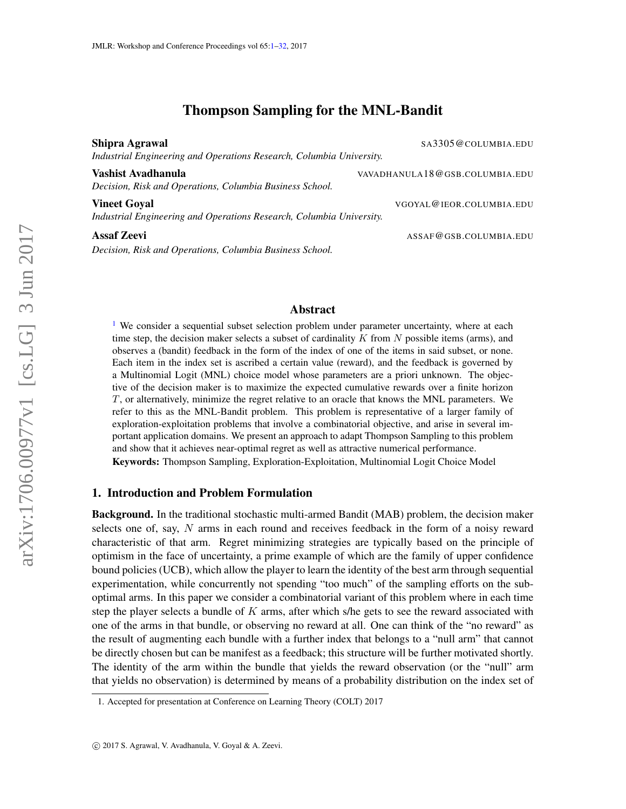# Thompson Sampling for the MNL-Bandit

<span id="page-0-0"></span>Shipra Agrawal Sample Sample Sample Sample Sant Sant Sant Sample Sample Sample Sample Sample Sample Sample Sample Sample Sample Sample Sample Sample Sample Sample Sample Sample Sample Sample Sample Sample Sample Sample Sam *Industrial Engineering and Operations Research, Columbia University.*

Vashist Avadhanula VAVADHANULA18@GSB.COLUMBIA.EDU *Decision, Risk and Operations, Columbia Business School.*

Vineet Goyal Vineet Goyal VGOYAL @IEOR.COLUMBIA.EDU *Industrial Engineering and Operations Research, Columbia University.*

*Decision, Risk and Operations, Columbia Business School.*

**Assaf Zeevi** Assaf **Zeevi** Assaf **Zeevi** Assaf **Assaf Assaf 2 Assaf 2 Assaf 2 Assaf 2 Assaf 2 Assaf 2 Assaf 2 Assaf 2 Assaf 2 Assaf 2 Assaf 2 Assaf 2 Assaf 2 Assaf 2 Assaf 2 Assaf 2 Assaf** 

## Abstract

<sup>[1](#page-0-1)</sup> We consider a sequential subset selection problem under parameter uncertainty, where at each time step, the decision maker selects a subset of cardinality  $K$  from  $N$  possible items (arms), and observes a (bandit) feedback in the form of the index of one of the items in said subset, or none. Each item in the index set is ascribed a certain value (reward), and the feedback is governed by a Multinomial Logit (MNL) choice model whose parameters are a priori unknown. The objective of the decision maker is to maximize the expected cumulative rewards over a finite horizon T, or alternatively, minimize the regret relative to an oracle that knows the MNL parameters. We refer to this as the MNL-Bandit problem. This problem is representative of a larger family of exploration-exploitation problems that involve a combinatorial objective, and arise in several important application domains. We present an approach to adapt Thompson Sampling to this problem and show that it achieves near-optimal regret as well as attractive numerical performance.

Keywords: Thompson Sampling, Exploration-Exploitation, Multinomial Logit Choice Model

## 1. Introduction and Problem Formulation

Background. In the traditional stochastic multi-armed Bandit (MAB) problem, the decision maker selects one of, say, N arms in each round and receives feedback in the form of a noisy reward characteristic of that arm. Regret minimizing strategies are typically based on the principle of optimism in the face of uncertainty, a prime example of which are the family of upper confidence bound policies (UCB), which allow the player to learn the identity of the best arm through sequential experimentation, while concurrently not spending "too much" of the sampling efforts on the suboptimal arms. In this paper we consider a combinatorial variant of this problem where in each time step the player selects a bundle of  $K$  arms, after which s/he gets to see the reward associated with one of the arms in that bundle, or observing no reward at all. One can think of the "no reward" as the result of augmenting each bundle with a further index that belongs to a "null arm" that cannot be directly chosen but can be manifest as a feedback; this structure will be further motivated shortly. The identity of the arm within the bundle that yields the reward observation (or the "null" arm that yields no observation) is determined by means of a probability distribution on the index set of

<span id="page-0-1"></span><sup>1.</sup> Accepted for presentation at Conference on Learning Theory (COLT) 2017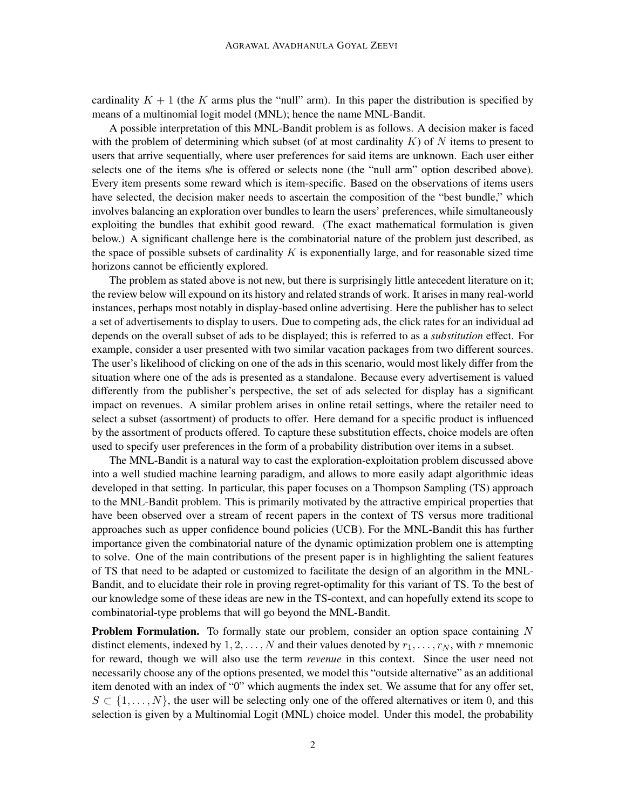cardinality  $K + 1$  (the K arms plus the "null" arm). In this paper the distribution is specified by means of a multinomial logit model (MNL); hence the name MNL-Bandit.

A possible interpretation of this MNL-Bandit problem is as follows. A decision maker is faced with the problem of determining which subset (of at most cardinality  $K$ ) of N items to present to users that arrive sequentially, where user preferences for said items are unknown. Each user either selects one of the items s/he is offered or selects none (the "null arm" option described above). Every item presents some reward which is item-specific. Based on the observations of items users have selected, the decision maker needs to ascertain the composition of the "best bundle," which involves balancing an exploration over bundles to learn the users' preferences, while simultaneously exploiting the bundles that exhibit good reward. (The exact mathematical formulation is given below.) A significant challenge here is the combinatorial nature of the problem just described, as the space of possible subsets of cardinality  $K$  is exponentially large, and for reasonable sized time horizons cannot be efficiently explored.

The problem as stated above is not new, but there is surprisingly little antecedent literature on it; the review below will expound on its history and related strands of work. It arises in many real-world instances, perhaps most notably in display-based online advertising. Here the publisher has to select a set of advertisements to display to users. Due to competing ads, the click rates for an individual ad depends on the overall subset of ads to be displayed; this is referred to as a *substitution* effect. For example, consider a user presented with two similar vacation packages from two different sources. The user's likelihood of clicking on one of the ads in this scenario, would most likely differ from the situation where one of the ads is presented as a standalone. Because every advertisement is valued differently from the publisher's perspective, the set of ads selected for display has a significant impact on revenues. A similar problem arises in online retail settings, where the retailer need to select a subset (assortment) of products to offer. Here demand for a specific product is influenced by the assortment of products offered. To capture these substitution effects, choice models are often used to specify user preferences in the form of a probability distribution over items in a subset.

The MNL-Bandit is a natural way to cast the exploration-exploitation problem discussed above into a well studied machine learning paradigm, and allows to more easily adapt algorithmic ideas developed in that setting. In particular, this paper focuses on a Thompson Sampling (TS) approach to the MNL-Bandit problem. This is primarily motivated by the attractive empirical properties that have been observed over a stream of recent papers in the context of TS versus more traditional approaches such as upper confidence bound policies (UCB). For the MNL-Bandit this has further importance given the combinatorial nature of the dynamic optimization problem one is attempting to solve. One of the main contributions of the present paper is in highlighting the salient features of TS that need to be adapted or customized to facilitate the design of an algorithm in the MNL-Bandit, and to elucidate their role in proving regret-optimality for this variant of TS. To the best of our knowledge some of these ideas are new in the TS-context, and can hopefully extend its scope to combinatorial-type problems that will go beyond the MNL-Bandit.

**Problem Formulation.** To formally state our problem, consider an option space containing  $N$ distinct elements, indexed by  $1, 2, \ldots, N$  and their values denoted by  $r_1, \ldots, r_N$ , with r mnemonic for reward, though we will also use the term *revenue* in this context. Since the user need not necessarily choose any of the options presented, we model this "outside alternative" as an additional item denoted with an index of "0" which augments the index set. We assume that for any offer set,  $S \subset \{1, \ldots, N\}$ , the user will be selecting only one of the offered alternatives or item 0, and this selection is given by a Multinomial Logit (MNL) choice model. Under this model, the probability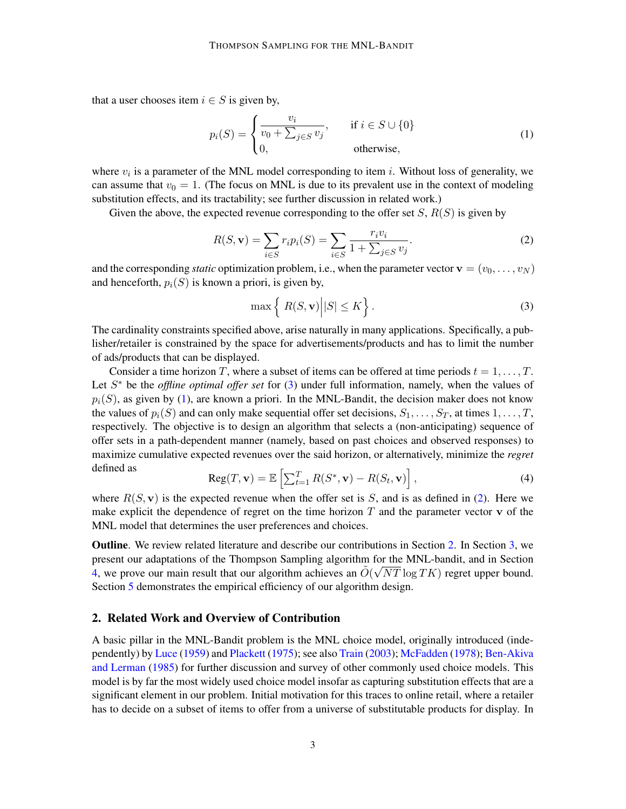that a user chooses item  $i \in S$  is given by,

<span id="page-2-1"></span>
$$
p_i(S) = \begin{cases} \frac{v_i}{v_0 + \sum_{j \in S} v_j}, & \text{if } i \in S \cup \{0\} \\ 0, & \text{otherwise}, \end{cases}
$$
(1)

where  $v_i$  is a parameter of the MNL model corresponding to item *i*. Without loss of generality, we can assume that  $v_0 = 1$ . (The focus on MNL is due to its prevalent use in the context of modeling substitution effects, and its tractability; see further discussion in related work.)

Given the above, the expected revenue corresponding to the offer set  $S, R(S)$  is given by

<span id="page-2-2"></span>
$$
R(S, \mathbf{v}) = \sum_{i \in S} r_i p_i(S) = \sum_{i \in S} \frac{r_i v_i}{1 + \sum_{j \in S} v_j}.
$$
 (2)

and the corresponding *static* optimization problem, i.e., when the parameter vector  $\mathbf{v} = (v_0, \dots, v_N)$ and henceforth,  $p_i(S)$  is known a priori, is given by,

<span id="page-2-0"></span>
$$
\max\left\{ |R(S, \mathbf{v})| |S| \le K \right\}.
$$
\n(3)

The cardinality constraints specified above, arise naturally in many applications. Specifically, a publisher/retailer is constrained by the space for advertisements/products and has to limit the number of ads/products that can be displayed.

Consider a time horizon T, where a subset of items can be offered at time periods  $t = 1, \ldots, T$ . Let S<sup>\*</sup> be the *offline optimal offer set* for [\(3\)](#page-2-0) under full information, namely, when the values of  $p_i(S)$ , as given by [\(1\)](#page-2-1), are known a priori. In the MNL-Bandit, the decision maker does not know the values of  $p_i(S)$  and can only make sequential offer set decisions,  $S_1, \ldots, S_T$ , at times  $1, \ldots, T$ , respectively. The objective is to design an algorithm that selects a (non-anticipating) sequence of offer sets in a path-dependent manner (namely, based on past choices and observed responses) to maximize cumulative expected revenues over the said horizon, or alternatively, minimize the *regret* defined as

$$
Reg(T, \mathbf{v}) = \mathbb{E}\left[\sum_{t=1}^{T} R(S^*, \mathbf{v}) - R(S_t, \mathbf{v})\right],
$$
\n(4)

where  $R(S, v)$  is the expected revenue when the offer set is S, and is as defined in [\(2\)](#page-2-2). Here we make explicit the dependence of regret on the time horizon  $T$  and the parameter vector  $\bf{v}$  of the MNL model that determines the user preferences and choices.

Outline. We review related literature and describe our contributions in Section [2.](#page-2-3) In Section [3,](#page-4-0) we present our adaptations of the Thompson Sampling algorithm for the MNL-bandit, and in Section [4,](#page-8-0) we prove our main result that our algorithm achieves an  $\tilde{O}(\sqrt{NT} \log TK)$  regret upper bound. Section [5](#page-11-0) demonstrates the empirical efficiency of our algorithm design.

## <span id="page-2-3"></span>2. Related Work and Overview of Contribution

A basic pillar in the MNL-Bandit problem is the MNL choice model, originally introduced (independently) by [Luce](#page-13-0) [\(1959\)](#page-13-0) and [Plackett](#page-13-1) [\(1975\)](#page-13-1); see also [Train](#page-13-2) [\(2003\)](#page-13-2); [McFadden](#page-13-3) [\(1978\)](#page-13-3); [Ben-Akiva](#page-13-4) [and Lerman](#page-13-4) [\(1985\)](#page-13-4) for further discussion and survey of other commonly used choice models. This model is by far the most widely used choice model insofar as capturing substitution effects that are a significant element in our problem. Initial motivation for this traces to online retail, where a retailer has to decide on a subset of items to offer from a universe of substitutable products for display. In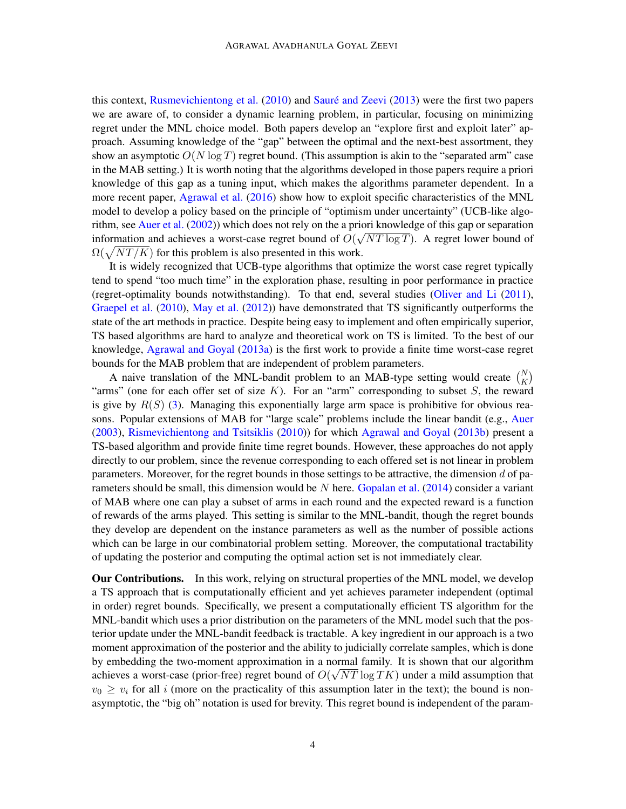this context, [Rusmevichientong et al.](#page-13-5) [\(2010\)](#page-13-5) and Sauré and Zeevi [\(2013\)](#page-13-6) were the first two papers we are aware of, to consider a dynamic learning problem, in particular, focusing on minimizing regret under the MNL choice model. Both papers develop an "explore first and exploit later" approach. Assuming knowledge of the "gap" between the optimal and the next-best assortment, they show an asymptotic  $O(N \log T)$  regret bound. (This assumption is akin to the "separated arm" case in the MAB setting.) It is worth noting that the algorithms developed in those papers require a priori knowledge of this gap as a tuning input, which makes the algorithms parameter dependent. In a more recent paper, [Agrawal et al.](#page-12-0) [\(2016\)](#page-12-0) show how to exploit specific characteristics of the MNL model to develop a policy based on the principle of "optimism under uncertainty" (UCB-like algo-rithm, see [Auer et al.](#page-12-1) [\(2002\)](#page-12-1)) which does not rely on the a priori knowledge of this gap or separation information and achieves a worst-case regret bound of  $O(\sqrt{NT \log T})$ . A regret lower bound of  $\Omega(\sqrt{NT/K})$  for this problem is also presented in this work.

It is widely recognized that UCB-type algorithms that optimize the worst case regret typically tend to spend "too much time" in the exploration phase, resulting in poor performance in practice (regret-optimality bounds notwithstanding). To that end, several studies [\(Oliver and Li](#page-13-7) [\(2011\)](#page-13-7), [Graepel et al.](#page-13-8) [\(2010\)](#page-13-8), [May et al.](#page-13-9) [\(2012\)](#page-13-9)) have demonstrated that TS significantly outperforms the state of the art methods in practice. Despite being easy to implement and often empirically superior, TS based algorithms are hard to analyze and theoretical work on TS is limited. To the best of our knowledge, [Agrawal and Goyal](#page-12-2) [\(2013a\)](#page-12-2) is the first work to provide a finite time worst-case regret bounds for the MAB problem that are independent of problem parameters.

A naive translation of the MNL-bandit problem to an MAB-type setting would create  $\binom{N}{K}$ "arms" (one for each offer set of size  $K$ ). For an "arm" corresponding to subset  $S$ , the reward is give by  $R(S)$  [\(3\)](#page-2-0). Managing this exponentially large arm space is prohibitive for obvious reasons. Popular extensions of MAB for "large scale" problems include the linear bandit (e.g., [Auer](#page-12-3) [\(2003\)](#page-12-3), [Rismevichientong and Tsitsiklis](#page-13-10) [\(2010\)](#page-13-10)) for which [Agrawal and Goyal](#page-12-4) [\(2013b\)](#page-12-4) present a TS-based algorithm and provide finite time regret bounds. However, these approaches do not apply directly to our problem, since the revenue corresponding to each offered set is not linear in problem parameters. Moreover, for the regret bounds in those settings to be attractive, the dimension d of parameters should be small, this dimension would be  $N$  here. [Gopalan et al.](#page-13-11) [\(2014\)](#page-13-11) consider a variant of MAB where one can play a subset of arms in each round and the expected reward is a function of rewards of the arms played. This setting is similar to the MNL-bandit, though the regret bounds they develop are dependent on the instance parameters as well as the number of possible actions which can be large in our combinatorial problem setting. Moreover, the computational tractability of updating the posterior and computing the optimal action set is not immediately clear.

Our Contributions. In this work, relying on structural properties of the MNL model, we develop a TS approach that is computationally efficient and yet achieves parameter independent (optimal in order) regret bounds. Specifically, we present a computationally efficient TS algorithm for the MNL-bandit which uses a prior distribution on the parameters of the MNL model such that the posterior update under the MNL-bandit feedback is tractable. A key ingredient in our approach is a two moment approximation of the posterior and the ability to judicially correlate samples, which is done by embedding the two-moment approximation in a normal family. It is shown that our algorithm achieves a worst-case (prior-free) regret bound of  $O(\sqrt{NT}\log TK)$  under a mild assumption that  $v_0 \geq v_i$  for all i (more on the practicality of this assumption later in the text); the bound is nonasymptotic, the "big oh" notation is used for brevity. This regret bound is independent of the param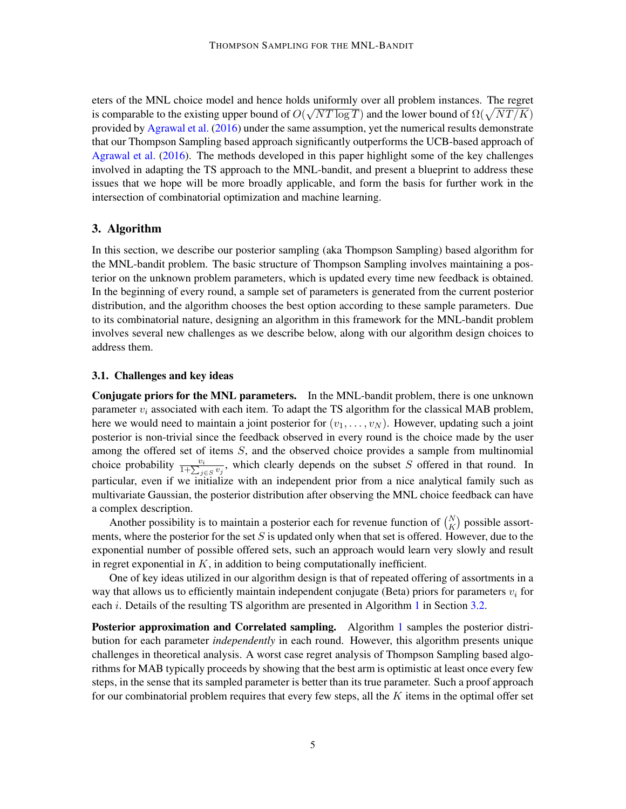eters of the MNL choice model and hence holds uniformly over all problem instances. The regret is comparable to the existing upper bound of  $O(\sqrt{NT \log T})$  and the lower bound of  $\Omega(\sqrt{NT/K})$ provided by [Agrawal et al.](#page-12-0) [\(2016\)](#page-12-0) under the same assumption, yet the numerical results demonstrate that our Thompson Sampling based approach significantly outperforms the UCB-based approach of [Agrawal et al.](#page-12-0) [\(2016\)](#page-12-0). The methods developed in this paper highlight some of the key challenges involved in adapting the TS approach to the MNL-bandit, and present a blueprint to address these issues that we hope will be more broadly applicable, and form the basis for further work in the intersection of combinatorial optimization and machine learning.

### <span id="page-4-0"></span>3. Algorithm

In this section, we describe our posterior sampling (aka Thompson Sampling) based algorithm for the MNL-bandit problem. The basic structure of Thompson Sampling involves maintaining a posterior on the unknown problem parameters, which is updated every time new feedback is obtained. In the beginning of every round, a sample set of parameters is generated from the current posterior distribution, and the algorithm chooses the best option according to these sample parameters. Due to its combinatorial nature, designing an algorithm in this framework for the MNL-bandit problem involves several new challenges as we describe below, along with our algorithm design choices to address them.

### 3.1. Challenges and key ideas

Conjugate priors for the MNL parameters. In the MNL-bandit problem, there is one unknown parameter  $v_i$  associated with each item. To adapt the TS algorithm for the classical MAB problem, here we would need to maintain a joint posterior for  $(v_1, \ldots, v_N)$ . However, updating such a joint posterior is non-trivial since the feedback observed in every round is the choice made by the user among the offered set of items S, and the observed choice provides a sample from multinomial choice probability  $\frac{v_i}{1+\sum_{j\in S}v_j}$ , which clearly depends on the subset S offered in that round. In particular, even if we initialize with an independent prior from a nice analytical family such as multivariate Gaussian, the posterior distribution after observing the MNL choice feedback can have a complex description.

Another possibility is to maintain a posterior each for revenue function of  $\binom{N}{K}$  possible assortments, where the posterior for the set  $S$  is updated only when that set is offered. However, due to the exponential number of possible offered sets, such an approach would learn very slowly and result in regret exponential in  $K$ , in addition to being computationally inefficient.

One of key ideas utilized in our algorithm design is that of repeated offering of assortments in a way that allows us to efficiently maintain independent conjugate (Beta) priors for parameters  $v_i$  for each *i*. Details of the resulting TS algorithm are presented in Algorithm [1](#page-6-0) in Section [3.2.](#page-5-0)

**Posterior approximation and Correlated sampling.** Algorithm [1](#page-6-0) samples the posterior distribution for each parameter *independently* in each round. However, this algorithm presents unique challenges in theoretical analysis. A worst case regret analysis of Thompson Sampling based algorithms for MAB typically proceeds by showing that the best arm is optimistic at least once every few steps, in the sense that its sampled parameter is better than its true parameter. Such a proof approach for our combinatorial problem requires that every few steps, all the  $K$  items in the optimal offer set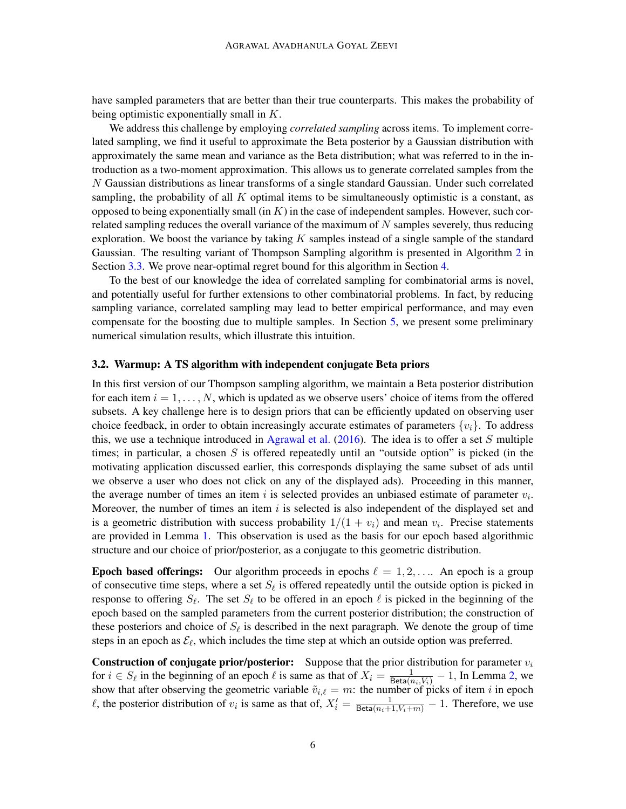have sampled parameters that are better than their true counterparts. This makes the probability of being optimistic exponentially small in K.

We address this challenge by employing *correlated sampling* across items. To implement correlated sampling, we find it useful to approximate the Beta posterior by a Gaussian distribution with approximately the same mean and variance as the Beta distribution; what was referred to in the introduction as a two-moment approximation. This allows us to generate correlated samples from the N Gaussian distributions as linear transforms of a single standard Gaussian. Under such correlated sampling, the probability of all  $K$  optimal items to be simultaneously optimistic is a constant, as opposed to being exponentially small (in  $K$ ) in the case of independent samples. However, such correlated sampling reduces the overall variance of the maximum of  $N$  samples severely, thus reducing exploration. We boost the variance by taking  $K$  samples instead of a single sample of the standard Gaussian. The resulting variant of Thompson Sampling algorithm is presented in Algorithm [2](#page-8-1) in Section [3.3.](#page-7-0) We prove near-optimal regret bound for this algorithm in Section [4.](#page-8-0)

To the best of our knowledge the idea of correlated sampling for combinatorial arms is novel, and potentially useful for further extensions to other combinatorial problems. In fact, by reducing sampling variance, correlated sampling may lead to better empirical performance, and may even compensate for the boosting due to multiple samples. In Section [5,](#page-11-0) we present some preliminary numerical simulation results, which illustrate this intuition.

### <span id="page-5-0"></span>3.2. Warmup: A TS algorithm with independent conjugate Beta priors

In this first version of our Thompson sampling algorithm, we maintain a Beta posterior distribution for each item  $i = 1, \ldots, N$ , which is updated as we observe users' choice of items from the offered subsets. A key challenge here is to design priors that can be efficiently updated on observing user choice feedback, in order to obtain increasingly accurate estimates of parameters  $\{v_i\}$ . To address this, we use a technique introduced in [Agrawal et al.](#page-12-0)  $(2016)$ . The idea is to offer a set S multiple times; in particular, a chosen  $S$  is offered repeatedly until an "outside option" is picked (in the motivating application discussed earlier, this corresponds displaying the same subset of ads until we observe a user who does not click on any of the displayed ads). Proceeding in this manner, the average number of times an item i is selected provides an unbiased estimate of parameter  $v_i$ . Moreover, the number of times an item  $i$  is selected is also independent of the displayed set and is a geometric distribution with success probability  $1/(1 + v_i)$  and mean  $v_i$ . Precise statements are provided in Lemma [1.](#page-6-1) This observation is used as the basis for our epoch based algorithmic structure and our choice of prior/posterior, as a conjugate to this geometric distribution.

**Epoch based offerings:** Our algorithm proceeds in epochs  $\ell = 1, 2, \ldots$ . An epoch is a group of consecutive time steps, where a set  $S_\ell$  is offered repeatedly until the outside option is picked in response to offering  $S_\ell$ . The set  $S_\ell$  to be offered in an epoch  $\ell$  is picked in the beginning of the epoch based on the sampled parameters from the current posterior distribution; the construction of these posteriors and choice of  $S_{\ell}$  is described in the next paragraph. We denote the group of time steps in an epoch as  $\mathcal{E}_{\ell}$ , which includes the time step at which an outside option was preferred.

**Construction of conjugate prior/posterior:** Suppose that the prior distribution for parameter  $v_i$ for  $i \in S_\ell$  in the beginning of an epoch  $\ell$  is same as that of  $X_i = \frac{1}{\text{Beta}(n_i, V_i)} - 1$ , In Lemma [2,](#page-7-1) we show that after observing the geometric variable  $\tilde{v}_{i,\ell} = m$ : the number of picks of item i in epoch  $\ell$ , the posterior distribution of  $v_i$  is same as that of,  $X'_i = \frac{1}{\text{Beta}(n_i+1, V_i+m)} - 1$ . Therefore, we use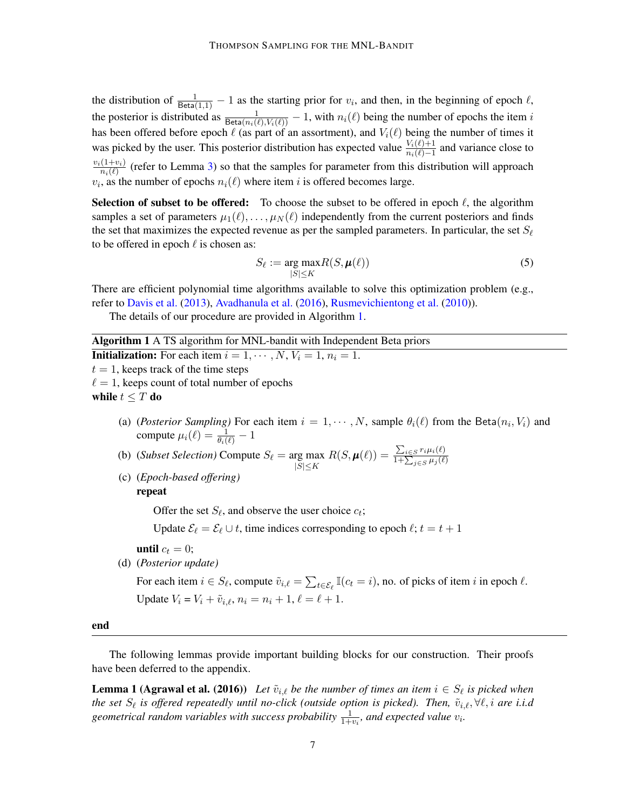the distribution of  $\frac{1}{\text{Beta}(1,1)} - 1$  as the starting prior for  $v_i$ , and then, in the beginning of epoch  $\ell$ , the posterior is distributed as  $\frac{1}{\text{Beta}(n_i(\ell), V_i(\ell))} - 1$ , with  $n_i(\ell)$  being the number of epochs the item i has been offered before epoch  $\ell$  (as part of an assortment), and  $V_i(\ell)$  being the number of times it was picked by the user. This posterior distribution has expected value  $\frac{V_i(\ell)+1}{n_i(\ell)-1}$  and variance close to  $v_i(1+v_i)$  $\frac{(1+v_i)}{n_i(\ell)}$  (refer to Lemma [3\)](#page-7-2) so that the samples for parameter from this distribution will approach  $v_i$ , as the number of epochs  $n_i(\ell)$  where item i is offered becomes large.

Selection of subset to be offered: To choose the subset to be offered in epoch  $\ell$ , the algorithm samples a set of parameters  $\mu_1(\ell), \ldots, \mu_N(\ell)$  independently from the current posteriors and finds the set that maximizes the expected revenue as per the sampled parameters. In particular, the set  $S_\ell$ to be offered in epoch  $\ell$  is chosen as:

$$
S_{\ell} := \underset{|S| \le K}{\arg \max} R(S, \mu(\ell))
$$
\n(5)

There are efficient polynomial time algorithms available to solve this optimization problem (e.g., refer to [Davis et al.](#page-13-12) [\(2013\)](#page-13-12), [Avadhanula et al.](#page-12-5) [\(2016\)](#page-12-5), [Rusmevichientong et al.](#page-13-5) [\(2010\)](#page-13-5)).

The details of our procedure are provided in Algorithm [1.](#page-6-0)

Algorithm 1 A TS algorithm for MNL-bandit with Independent Beta priors

**Initialization:** For each item  $i = 1, \dots, N$ ,  $V_i = 1$ ,  $n_i = 1$ .

 $t = 1$ , keeps track of the time steps

 $\ell = 1$ , keeps count of total number of epochs

while  $t \leq T$  do

- (a) (*Posterior Sampling*) For each item  $i = 1, \dots, N$ , sample  $\theta_i(\ell)$  from the Beta $(n_i, V_i)$  and compute  $\mu_i(\ell) = \frac{1}{\theta_i(\ell)} - 1$
- (b) (*Subset Selection*) Compute  $S_{\ell} = \arg \max$  $|S|{\leq}K$  $R(S, \boldsymbol{\mu}(\ell)) = \frac{\sum_{i \in S} r_i \mu_i(\ell)}{1 + \sum_{i \in \ell} \mu_i(\ell)}$  $1+\sum_{j\in S}\mu_j(\ell)$
- (c) (*Epoch-based offering)* repeat

Offer the set  $S_{\ell}$ , and observe the user choice  $c_t$ ;

Update  $\mathcal{E}_{\ell} = \mathcal{E}_{\ell} \cup t$ , time indices corresponding to epoch  $\ell$ ;  $t = t + 1$ 

- until  $c_t = 0$ ;
- (d) (*Posterior update)*

<span id="page-6-1"></span>For each item  $i \in S_\ell$ , compute  $\tilde{v}_{i,\ell} = \sum_{t \in \mathcal{E}_\ell} \mathbb{I}(c_t = i)$ , no. of picks of item i in epoch  $\ell$ . Update  $V_i = V_i + \tilde{v}_{i,\ell}, n_i = n_i + 1, \ell = \ell + 1.$ 

<span id="page-6-0"></span>end

The following lemmas provide important building blocks for our construction. Their proofs have been deferred to the appendix.

**Lemma 1 (Agrawal et al. (2016))** Let  $\tilde{v}_{i,\ell}$  be the number of times an item  $i \in S_{\ell}$  is picked when *the set*  $S_\ell$  is offered repeatedly until no-click (outside option is picked). Then,  $\tilde{v}_{i,\ell}, \forall \ell, i$  are i.i.d geometrical random variables with success probability  $\frac{1}{1+v_i}$ , and expected value  $v_i$ .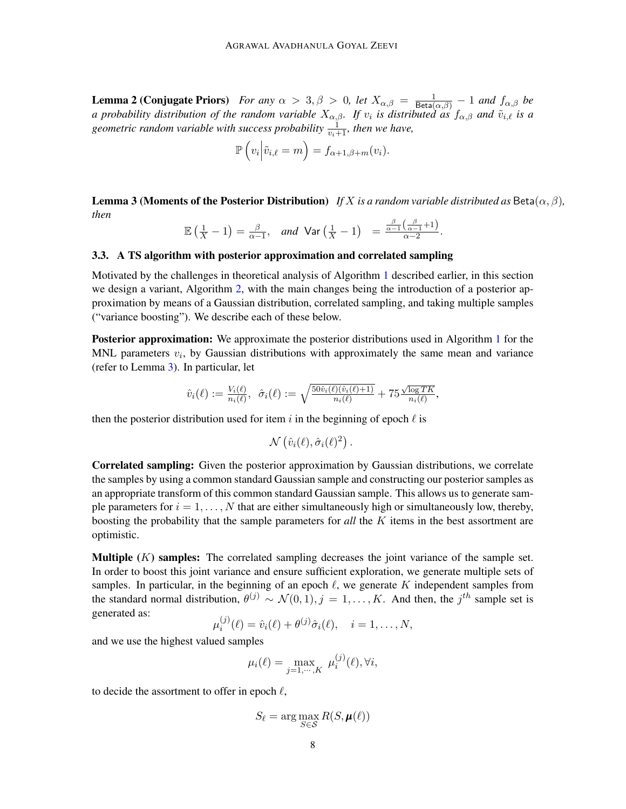<span id="page-7-1"></span>**Lemma 2 (Conjugate Priors)** For any  $\alpha > 3, \beta > 0$ , let  $X_{\alpha,\beta} = \frac{1}{\text{Beta}(\alpha,\beta)} - 1$  and  $f_{\alpha,\beta}$  be *a* probability distribution of the random variable  $X_{\alpha,\beta}$ . If  $v_i$  is distributed as  $f_{\alpha,\beta}$  and  $\tilde{v}_{i,\ell}$  is a geometric random variable with success probability  $\frac{1}{v_i+1}$ , then we have,

$$
\mathbb{P}\left(v_i\middle| \tilde{v}_{i,\ell} = m\right) = f_{\alpha+1,\beta+m}(v_i).
$$

<span id="page-7-2"></span>**Lemma 3 (Moments of the Posterior Distribution)** *If* X *is a random variable distributed as* Beta $(\alpha, \beta)$ *, then*

.

$$
\mathbb{E}\left(\frac{1}{X} - 1\right) = \frac{\beta}{\alpha - 1}, \quad \text{and} \quad \text{Var}\left(\frac{1}{X} - 1\right) = \frac{\frac{\beta}{\alpha - 1}\left(\frac{\beta}{\alpha - 1} + 1\right)}{\alpha - 2}
$$

## <span id="page-7-0"></span>3.3. A TS algorithm with posterior approximation and correlated sampling

Motivated by the challenges in theoretical analysis of Algorithm [1](#page-6-0) described earlier, in this section we design a variant, Algorithm [2,](#page-8-1) with the main changes being the introduction of a posterior approximation by means of a Gaussian distribution, correlated sampling, and taking multiple samples ("variance boosting"). We describe each of these below.

**Posterior approximation:** We approximate the posterior distributions used in Algorithm [1](#page-6-0) for the MNL parameters  $v_i$ , by Gaussian distributions with approximately the same mean and variance (refer to Lemma [3\)](#page-7-2). In particular, let

$$
\hat{v}_i(\ell) := \frac{V_i(\ell)}{n_i(\ell)}, \ \ \hat{\sigma}_i(\ell) := \sqrt{\frac{50\hat{v}_i(\ell)(\hat{v}_i(\ell)+1)}{n_i(\ell)}} + 75\frac{\sqrt{\log TK}}{n_i(\ell)},
$$

then the posterior distribution used for item i in the beginning of epoch  $\ell$  is

$$
\mathcal{N}(\hat{v}_i(\ell), \hat{\sigma}_i(\ell)^2) .
$$

Correlated sampling: Given the posterior approximation by Gaussian distributions, we correlate the samples by using a common standard Gaussian sample and constructing our posterior samples as an appropriate transform of this common standard Gaussian sample. This allows us to generate sample parameters for  $i = 1, \ldots, N$  that are either simultaneously high or simultaneously low, thereby, boosting the probability that the sample parameters for *all* the K items in the best assortment are optimistic.

**Multiple**  $(K)$  samples: The correlated sampling decreases the joint variance of the sample set. In order to boost this joint variance and ensure sufficient exploration, we generate multiple sets of samples. In particular, in the beginning of an epoch  $\ell$ , we generate K independent samples from the standard normal distribution,  $\theta^{(j)} \sim \mathcal{N}(0,1), j = 1, \ldots, K$ . And then, the  $j^{th}$  sample set is generated as:

$$
\mu_i^{(j)}(\ell) = \hat{v}_i(\ell) + \theta^{(j)}\hat{\sigma}_i(\ell), \quad i = 1, \dots, N,
$$

and we use the highest valued samples

$$
\mu_i(\ell) = \max_{j=1,\cdots,K} \mu_i^{(j)}(\ell), \forall i,
$$

to decide the assortment to offer in epoch  $\ell$ ,

$$
S_{\ell} = \arg\max_{S \in \mathcal{S}} R(S, \mu(\ell))
$$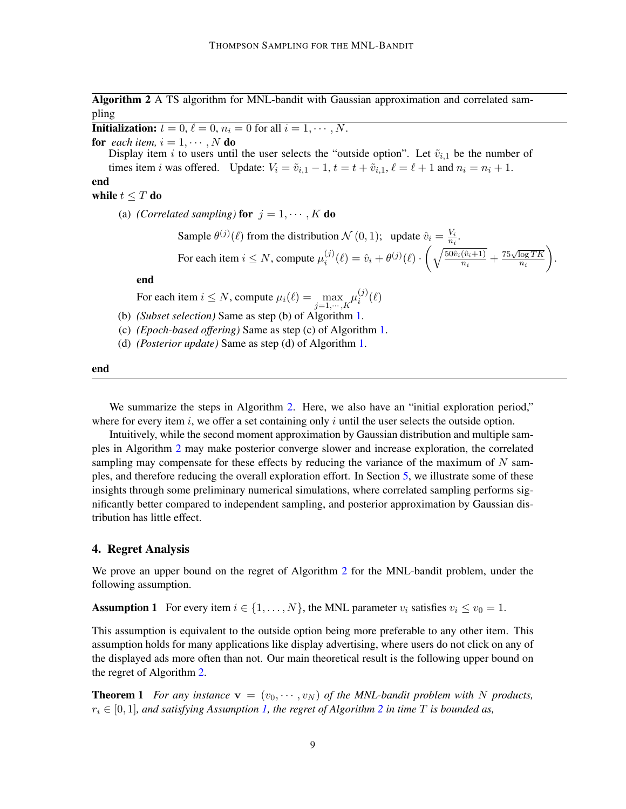Algorithm 2 A TS algorithm for MNL-bandit with Gaussian approximation and correlated sampling

**Initialization:**  $t = 0, \ell = 0, n_i = 0$  for all  $i = 1, \cdots, N$ .

**for** each item,  $i = 1, \dots, N$  **do** 

Display item i to users until the user selects the "outside option". Let  $\tilde{v}_{i,1}$  be the number of times item *i* was offered. Update:  $V_i = \tilde{v}_{i,1} - 1$ ,  $t = t + \tilde{v}_{i,1}$ ,  $\ell = \ell + 1$  and  $n_i = n_i + 1$ .

# end

## while  $t \leq T$  do

(a) *(Correlated sampling)* for  $j = 1, \dots, K$  do

Sample  $\theta^{(j)}(\ell)$  from the distribution  $\mathcal{N}(0,1)$ ; update  $\hat{v}_i = \frac{V_i}{n_i}$  $\frac{V_i}{n_i}.$ For each item  $i \leq N$ , compute  $\mu_i^{(j)}$  $\hat{v}_i^{(j)}(\ell) = \hat{v}_i + \theta^{(j)}(\ell) \cdot \left( \sqrt{\frac{50\hat{v}_i(\hat{v}_i+1)}{n_i}} \right)$  $\sqrt{\frac{(\hat{v}_i+1)}{n_i}} + \frac{75\sqrt{\log TK}}{n_i}$  $\overline{n_i}$ .

end

For each item  $i \le N$ , compute  $\mu_i(\ell) = \max_{j=1,\dots,K} \mu_i^{(j)}$  $\binom{J}{i}(\ell)$ 

- (b) *(Subset selection)* Same as step (b) of Algorithm [1.](#page-6-0)
- (c) *(Epoch-based offering)* Same as step (c) of Algorithm [1.](#page-6-0)
- (d) *(Posterior update)* Same as step (d) of Algorithm [1.](#page-6-0)

<span id="page-8-1"></span>end

We summarize the steps in Algorithm [2.](#page-8-1) Here, we also have an "initial exploration period," where for every item  $i$ , we offer a set containing only  $i$  until the user selects the outside option.

Intuitively, while the second moment approximation by Gaussian distribution and multiple samples in Algorithm [2](#page-8-1) may make posterior converge slower and increase exploration, the correlated sampling may compensate for these effects by reducing the variance of the maximum of  $N$  samples, and therefore reducing the overall exploration effort. In Section [5,](#page-11-0) we illustrate some of these insights through some preliminary numerical simulations, where correlated sampling performs significantly better compared to independent sampling, and posterior approximation by Gaussian distribution has little effect.

### <span id="page-8-0"></span>4. Regret Analysis

<span id="page-8-2"></span>We prove an upper bound on the regret of Algorithm [2](#page-8-1) for the MNL-bandit problem, under the following assumption.

**Assumption 1** For every item  $i \in \{1, ..., N\}$ , the MNL parameter  $v_i$  satisfies  $v_i \le v_0 = 1$ .

This assumption is equivalent to the outside option being more preferable to any other item. This assumption holds for many applications like display advertising, where users do not click on any of the displayed ads more often than not. Our main theoretical result is the following upper bound on the regret of Algorithm [2.](#page-8-1)

**Theorem 1** For any instance  $\mathbf{v} = (v_0, \dots, v_N)$  of the MNL-bandit problem with N products,  $r_i \in [0, 1]$ , and satisfying Assumption [1,](#page-8-2) the regret of Algorithm [2](#page-8-1) in time T is bounded as,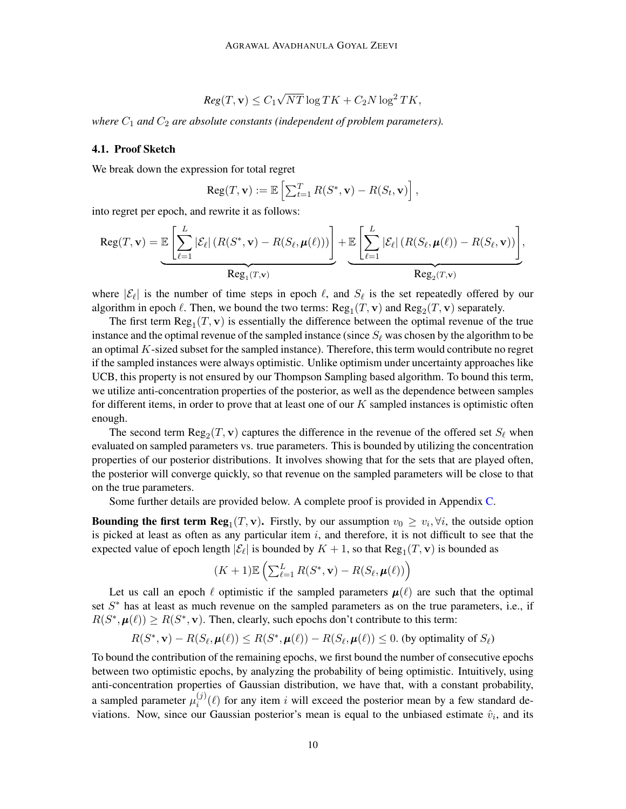$$
Reg(T, \mathbf{v}) \le C_1 \sqrt{NT} \log TK + C_2 N \log^2 TK,
$$

*where*  $C_1$  *and*  $C_2$  *are absolute constants (independent of problem parameters).* 

## 4.1. Proof Sketch

We break down the expression for total regret

$$
Reg(T, \mathbf{v}) := \mathbb{E}\left[\sum_{t=1}^{T} R(S^*, \mathbf{v}) - R(S_t, \mathbf{v})\right],
$$

into regret per epoch, and rewrite it as follows:

$$
Reg(T, \mathbf{v}) = \underbrace{\mathbb{E}\left[\sum_{\ell=1}^{L}|\mathcal{E}_{\ell}|\left(R(S^*, \mathbf{v}) - R(S_{\ell}, \boldsymbol{\mu}(\ell))\right)\right]}_{Reg_1(T, \mathbf{v})} + \underbrace{\mathbb{E}\left[\sum_{\ell=1}^{L}|\mathcal{E}_{\ell}|\left(R(S_{\ell}, \boldsymbol{\mu}(\ell)) - R(S_{\ell}, \mathbf{v})\right)\right]}_{Reg_2(T, \mathbf{v})},
$$

where  $|\mathcal{E}_{\ell}|$  is the number of time steps in epoch  $\ell$ , and  $S_{\ell}$  is the set repeatedly offered by our algorithm in epoch  $\ell$ . Then, we bound the two terms:  $\text{Reg}_1(T, \mathbf{v})$  and  $\text{Reg}_2(T, \mathbf{v})$  separately.

The first term  $\text{Reg}_1(T, v)$  is essentially the difference between the optimal revenue of the true instance and the optimal revenue of the sampled instance (since  $S_\ell$  was chosen by the algorithm to be an optimal K-sized subset for the sampled instance). Therefore, this term would contribute no regret if the sampled instances were always optimistic. Unlike optimism under uncertainty approaches like UCB, this property is not ensured by our Thompson Sampling based algorithm. To bound this term, we utilize anti-concentration properties of the posterior, as well as the dependence between samples for different items, in order to prove that at least one of our  $K$  sampled instances is optimistic often enough.

The second term  $\text{Reg}_2(T, \mathbf{v})$  captures the difference in the revenue of the offered set  $S_\ell$  when evaluated on sampled parameters vs. true parameters. This is bounded by utilizing the concentration properties of our posterior distributions. It involves showing that for the sets that are played often, the posterior will converge quickly, so that revenue on the sampled parameters will be close to that on the true parameters.

Some further details are provided below. A complete proof is provided in Appendix [C.](#page-17-0)

**Bounding the first term Reg**<sub>1</sub> $(T, \mathbf{v})$ . Firstly, by our assumption  $v_0 \geq v_i, \forall i$ , the outside option is picked at least as often as any particular item  $i$ , and therefore, it is not difficult to see that the expected value of epoch length  $|\mathcal{E}_{\ell}|$  is bounded by  $K + 1$ , so that  $\text{Reg}_1(T, \mathbf{v})$  is bounded as

$$
(K+1)\mathbb{E}\left(\sum_{\ell=1}^{L}R(S^*,\mathbf{v})-R(S_{\ell},\boldsymbol{\mu}(\ell))\right)
$$

Let us call an epoch  $\ell$  optimistic if the sampled parameters  $\mu(\ell)$  are such that the optimal set  $S^*$  has at least as much revenue on the sampled parameters as on the true parameters, i.e., if  $R(S^*, \mu(\ell)) \ge R(S^*, \mathbf{v})$ . Then, clearly, such epochs don't contribute to this term:

$$
R(S^*, \mathbf{v}) - R(S_{\ell}, \boldsymbol{\mu}(\ell)) \le R(S^*, \boldsymbol{\mu}(\ell)) - R(S_{\ell}, \boldsymbol{\mu}(\ell)) \le 0.
$$
 (by optimality of  $S_{\ell}$ )

To bound the contribution of the remaining epochs, we first bound the number of consecutive epochs between two optimistic epochs, by analyzing the probability of being optimistic. Intuitively, using anti-concentration properties of Gaussian distribution, we have that, with a constant probability, a sampled parameter  $\mu_i^{(j)}$  $i^{(j)}(\ell)$  for any item i will exceed the posterior mean by a few standard deviations. Now, since our Gaussian posterior's mean is equal to the unbiased estimate  $\hat{v}_i$ , and its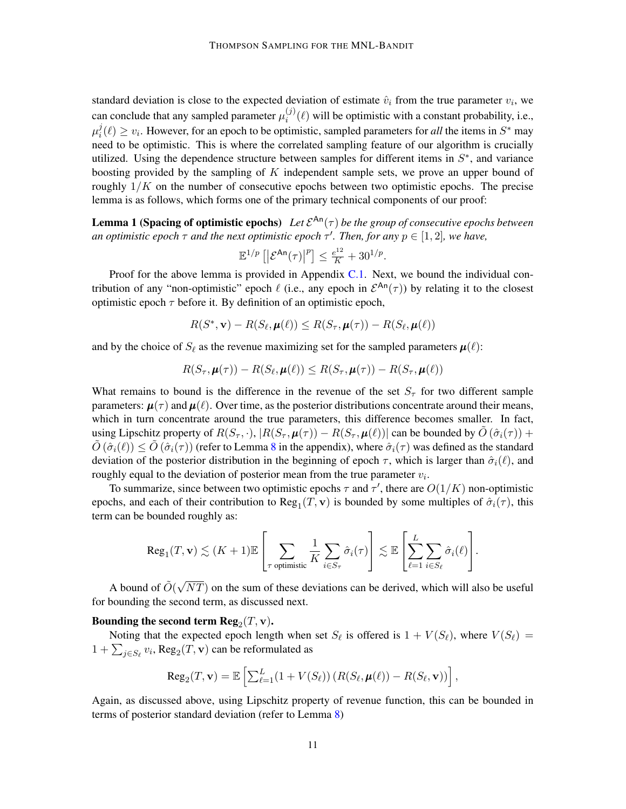standard deviation is close to the expected deviation of estimate  $\hat{v}_i$  from the true parameter  $v_i$ , we can conclude that any sampled parameter  $\mu_i^{(j)}$  $i^{(j)}(\ell)$  will be optimistic with a constant probability, i.e.,  $\mu_i^j$  $i(\ell) \ge v_i$ . However, for an epoch to be optimistic, sampled parameters for *all* the items in  $S^*$  may need to be optimistic. This is where the correlated sampling feature of our algorithm is crucially utilized. Using the dependence structure between samples for different items in  $S^*$ , and variance boosting provided by the sampling of  $K$  independent sample sets, we prove an upper bound of roughly  $1/K$  on the number of consecutive epochs between two optimistic epochs. The precise lemma is as follows, which forms one of the primary technical components of our proof:

**Lemma 1 (Spacing of optimistic epochs)** Let  $\mathcal{E}^{\mathsf{An}}(\tau)$  be the group of consecutive epochs between *an optimistic epoch*  $\tau$  *and the next optimistic epoch*  $\tau'$ . Then, for any  $p \in [1, 2]$ , we have,

$$
\mathbb{E}^{1/p}\left[\left|\mathcal{E}^{\mathrm{An}}(\tau)\right|^{p}\right] \leq \frac{e^{12}}{K} + 30^{1/p}.
$$

Proof for the above lemma is provided in Appendix [C.1.](#page-23-0) Next, we bound the individual contribution of any "non-optimistic" epoch  $\ell$  (i.e., any epoch in  $\mathcal{E}^{An}(\tau)$ ) by relating it to the closest optimistic epoch  $\tau$  before it. By definition of an optimistic epoch,

$$
R(S^*, \mathbf{v}) - R(S_{\ell}, \boldsymbol{\mu}(\ell)) \leq R(S_{\tau}, \boldsymbol{\mu}(\tau)) - R(S_{\ell}, \boldsymbol{\mu}(\ell))
$$

and by the choice of  $S_\ell$  as the revenue maximizing set for the sampled parameters  $\mu(\ell)$ :

$$
R(S_{\tau}, \boldsymbol{\mu}(\tau)) - R(S_{\ell}, \boldsymbol{\mu}(\ell)) \leq R(S_{\tau}, \boldsymbol{\mu}(\tau)) - R(S_{\tau}, \boldsymbol{\mu}(\ell))
$$

What remains to bound is the difference in the revenue of the set  $S<sub>\tau</sub>$  for two different sample parameters:  $\mu(\tau)$  and  $\mu(\ell)$ . Over time, as the posterior distributions concentrate around their means, which in turn concentrate around the true parameters, this difference becomes smaller. In fact, using Lipschitz property of  $R(S_\tau, \cdot), |R(S_\tau, \mu(\tau)) - R(S_\tau, \mu(\ell))|$  can be bounded by  $\tilde{O}(\hat{\sigma}_i(\tau))$  +  $\tilde{O}(\hat{\sigma}_i(\ell)) \leq \tilde{O}(\hat{\sigma}_i(\tau))$  (refer to Lemma [8](#page-17-1) in the appendix), where  $\hat{\sigma}_i(\tau)$  was defined as the standard deviation of the posterior distribution in the beginning of epoch  $\tau$ , which is larger than  $\hat{\sigma}_i(\ell)$ , and roughly equal to the deviation of posterior mean from the true parameter  $v_i$ .

To summarize, since between two optimistic epochs  $\tau$  and  $\tau'$ , there are  $O(1/K)$  non-optimistic epochs, and each of their contribution to  $Reg_1(T, v)$  is bounded by some multiples of  $\hat{\sigma}_i(\tau)$ , this term can be bounded roughly as:

$$
\mathrm{Reg}_1(T, \mathbf{v}) \lesssim (K+1) \mathbb{E} \left[ \sum_{\tau \text{ optimistic}} \frac{1}{K} \sum_{i \in S_{\tau}} \hat{\sigma}_i(\tau) \right] \lesssim \mathbb{E} \left[ \sum_{\ell=1}^L \sum_{i \in S_{\ell}} \hat{\sigma}_i(\ell) \right].
$$

A bound of  $\tilde{O}(\sqrt{2})$  $NT$ ) on the sum of these deviations can be derived, which will also be useful for bounding the second term, as discussed next.

# Bounding the second term  $\mathbf{Reg}_2(T, \mathbf{v})$ .

Noting that the expected epoch length when set  $S_{\ell}$  is offered is  $1 + V(S_{\ell})$ , where  $V(S_{\ell}) =$  $1 + \sum_{j \in S_{\ell}} v_i$ , Reg<sub>2</sub> $(T, \mathbf{v})$  can be reformulated as

$$
\operatorname{Reg}_2(T, \mathbf{v}) = \mathbb{E}\left[\sum_{\ell=1}^L (1 + V(S_{\ell})) \left(R(S_{\ell}, \boldsymbol{\mu}(\ell)) - R(S_{\ell}, \mathbf{v})\right)\right],
$$

Again, as discussed above, using Lipschitz property of revenue function, this can be bounded in terms of posterior standard deviation (refer to Lemma [8\)](#page-17-1)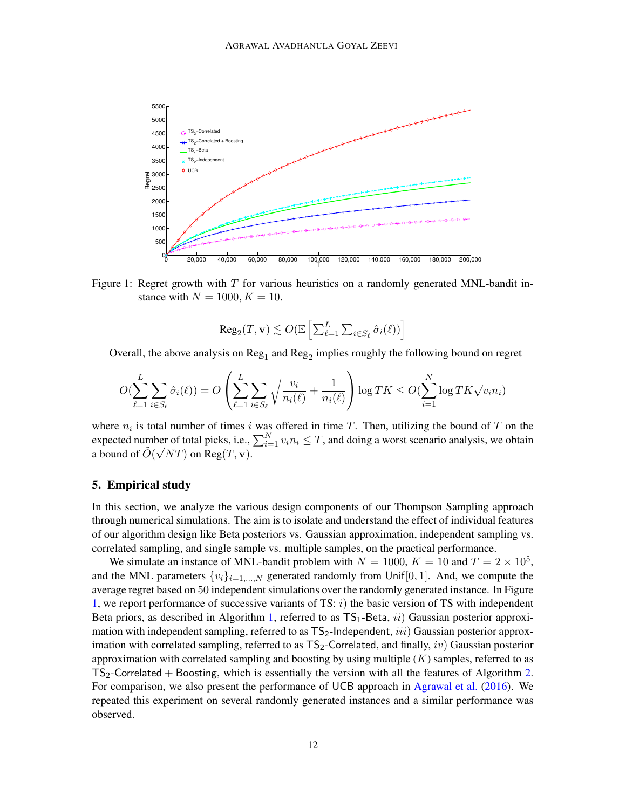

Figure 1: Regret growth with  $T$  for various heuristics on a randomly generated MNL-bandit instance with  $N = 1000, K = 10$ .

<span id="page-11-1"></span>
$$
\text{Reg}_2(T, \mathbf{v}) \lesssim O(\mathbb{E}\left[\sum_{\ell=1}^L \sum_{i \in S_{\ell}} \hat{\sigma}_i(\ell))\right]
$$

Overall, the above analysis on  $\text{Reg}_1$  and  $\text{Reg}_2$  implies roughly the following bound on regret

$$
O(\sum_{\ell=1}^{L} \sum_{i \in S_{\ell}} \hat{\sigma}_i(\ell)) = O\left(\sum_{\ell=1}^{L} \sum_{i \in S_{\ell}} \sqrt{\frac{v_i}{n_i(\ell)}} + \frac{1}{n_i(\ell)}\right) \log TK \le O(\sum_{i=1}^{N} \log TK\sqrt{v_i n_i})
$$

where  $n_i$  is total number of times i was offered in time T. Then, utilizing the bound of T on the expected number of total picks, i.e.,  $\sum_{i=1}^{N} v_i n_i \leq T$ , and doing a worst scenario analysis, we obtain a bound of  $\tilde{O}(\sqrt{NT})$  on  $\text{Reg}(T, \mathbf{v})$ .

### <span id="page-11-0"></span>5. Empirical study

In this section, we analyze the various design components of our Thompson Sampling approach through numerical simulations. The aim is to isolate and understand the effect of individual features of our algorithm design like Beta posteriors vs. Gaussian approximation, independent sampling vs. correlated sampling, and single sample vs. multiple samples, on the practical performance.

We simulate an instance of MNL-bandit problem with  $N = 1000$ ,  $K = 10$  and  $T = 2 \times 10^5$ , and the MNL parameters  $\{v_i\}_{i=1,\dots,N}$  generated randomly from Unif [0, 1]. And, we compute the average regret based on 50 independent simulations over the randomly generated instance. In Figure [1,](#page-11-1) we report performance of successive variants of TS:  $i$ ) the basic version of TS with independent Beta priors, as described in Algorithm [1,](#page-6-0) referred to as  $TS_1$ -Beta,  $ii)$  Gaussian posterior approximation with independent sampling, referred to as  $TS_2$ -Independent, *iii*) Gaussian posterior approximation with correlated sampling, referred to as  $TS_2$ -Correlated, and finally, iv) Gaussian posterior approximation with correlated sampling and boosting by using multiple  $(K)$  samples, referred to as  $TS<sub>2</sub>$ -Correlated + Boosting, which is essentially the version with all the features of Algorithm [2.](#page-8-1) For comparison, we also present the performance of UCB approach in [Agrawal et al.](#page-12-0) [\(2016\)](#page-12-0). We repeated this experiment on several randomly generated instances and a similar performance was observed.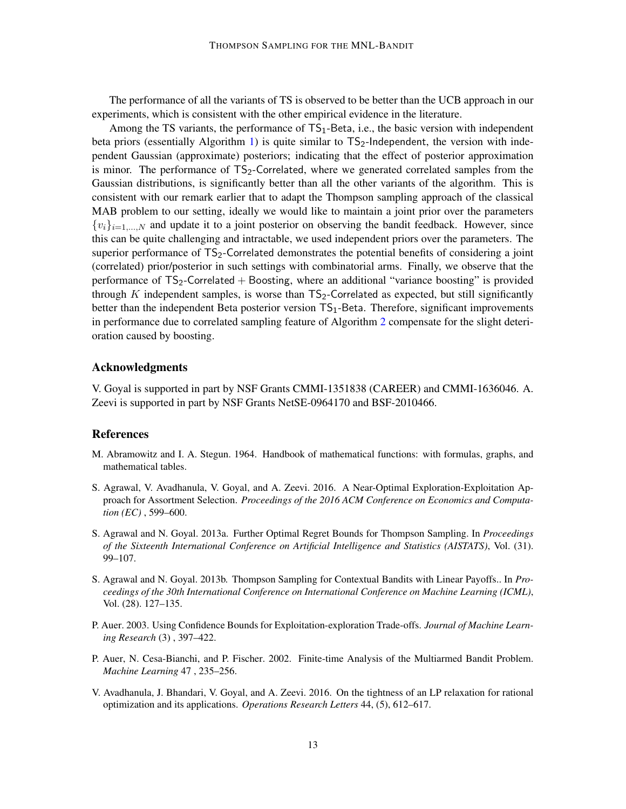The performance of all the variants of TS is observed to be better than the UCB approach in our experiments, which is consistent with the other empirical evidence in the literature.

Among the TS variants, the performance of  $TS_1$ -Beta, i.e., the basic version with independent beta priors (essentially Algorithm [1\)](#page-6-0) is quite similar to  $TS_2$ -Independent, the version with independent Gaussian (approximate) posteriors; indicating that the effect of posterior approximation is minor. The performance of  $TS_2$ -Correlated, where we generated correlated samples from the Gaussian distributions, is significantly better than all the other variants of the algorithm. This is consistent with our remark earlier that to adapt the Thompson sampling approach of the classical MAB problem to our setting, ideally we would like to maintain a joint prior over the parameters  ${v_i}_{i=1,\ldots,N}$  and update it to a joint posterior on observing the bandit feedback. However, since this can be quite challenging and intractable, we used independent priors over the parameters. The superior performance of TS<sub>2</sub>-Correlated demonstrates the potential benefits of considering a joint (correlated) prior/posterior in such settings with combinatorial arms. Finally, we observe that the performance of  $TS_2$ -Correlated + Boosting, where an additional "variance boosting" is provided through K independent samples, is worse than  $TS_2$ -Correlated as expected, but still significantly better than the independent Beta posterior version  $TS_1$ -Beta. Therefore, significant improvements in performance due to correlated sampling feature of Algorithm [2](#page-8-1) compensate for the slight deterioration caused by boosting.

### Acknowledgments

V. Goyal is supported in part by NSF Grants CMMI-1351838 (CAREER) and CMMI-1636046. A. Zeevi is supported in part by NSF Grants NetSE-0964170 and BSF-2010466.

### References

- <span id="page-12-6"></span>M. Abramowitz and I. A. Stegun. 1964. Handbook of mathematical functions: with formulas, graphs, and mathematical tables.
- <span id="page-12-0"></span>S. Agrawal, V. Avadhanula, V. Goyal, and A. Zeevi. 2016. A Near-Optimal Exploration-Exploitation Approach for Assortment Selection. *Proceedings of the 2016 ACM Conference on Economics and Computation (EC)* , 599–600.
- <span id="page-12-2"></span>S. Agrawal and N. Goyal. 2013a. Further Optimal Regret Bounds for Thompson Sampling. In *Proceedings of the Sixteenth International Conference on Artificial Intelligence and Statistics (AISTATS)*, Vol. (31). 99–107.
- <span id="page-12-4"></span>S. Agrawal and N. Goyal. 2013b. Thompson Sampling for Contextual Bandits with Linear Payoffs.. In *Proceedings of the 30th International Conference on International Conference on Machine Learning (ICML)*, Vol. (28). 127–135.
- <span id="page-12-3"></span>P. Auer. 2003. Using Confidence Bounds for Exploitation-exploration Trade-offs. *Journal of Machine Learning Research* (3) , 397–422.
- <span id="page-12-1"></span>P. Auer, N. Cesa-Bianchi, and P. Fischer. 2002. Finite-time Analysis of the Multiarmed Bandit Problem. *Machine Learning* 47 , 235–256.
- <span id="page-12-5"></span>V. Avadhanula, J. Bhandari, V. Goyal, and A. Zeevi. 2016. On the tightness of an LP relaxation for rational optimization and its applications. *Operations Research Letters* 44, (5), 612–617.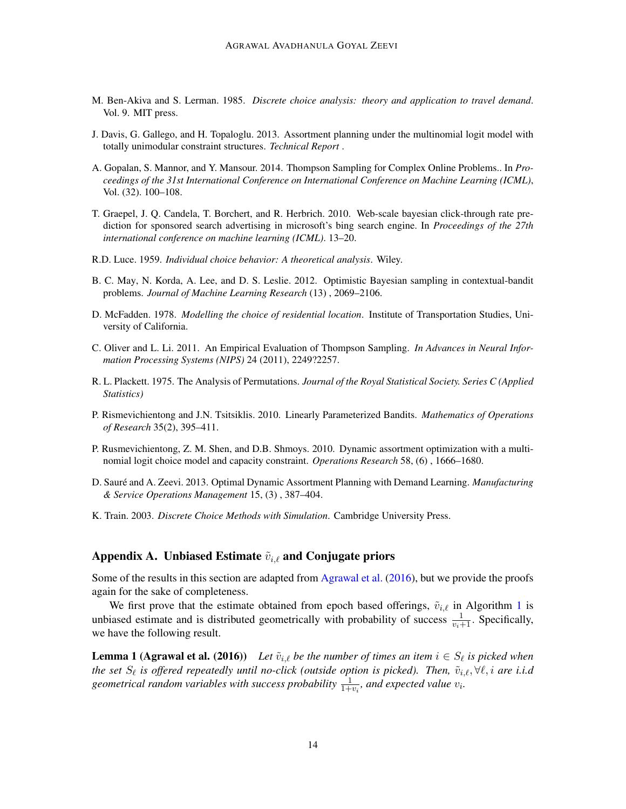- <span id="page-13-4"></span>M. Ben-Akiva and S. Lerman. 1985. *Discrete choice analysis: theory and application to travel demand*. Vol. 9. MIT press.
- <span id="page-13-12"></span>J. Davis, G. Gallego, and H. Topaloglu. 2013. Assortment planning under the multinomial logit model with totally unimodular constraint structures. *Technical Report* .
- <span id="page-13-11"></span>A. Gopalan, S. Mannor, and Y. Mansour. 2014. Thompson Sampling for Complex Online Problems.. In *Proceedings of the 31st International Conference on International Conference on Machine Learning (ICML)*, Vol. (32). 100–108.
- <span id="page-13-8"></span>T. Graepel, J. Q. Candela, T. Borchert, and R. Herbrich. 2010. Web-scale bayesian click-through rate prediction for sponsored search advertising in microsoft's bing search engine. In *Proceedings of the 27th international conference on machine learning (ICML)*. 13–20.
- <span id="page-13-0"></span>R.D. Luce. 1959. *Individual choice behavior: A theoretical analysis*. Wiley.
- <span id="page-13-9"></span>B. C. May, N. Korda, A. Lee, and D. S. Leslie. 2012. Optimistic Bayesian sampling in contextual-bandit problems. *Journal of Machine Learning Research* (13) , 2069–2106.
- <span id="page-13-3"></span>D. McFadden. 1978. *Modelling the choice of residential location*. Institute of Transportation Studies, University of California.
- <span id="page-13-7"></span>C. Oliver and L. Li. 2011. An Empirical Evaluation of Thompson Sampling. *In Advances in Neural Information Processing Systems (NIPS)* 24 (2011), 2249?2257.
- <span id="page-13-1"></span>R. L. Plackett. 1975. The Analysis of Permutations. *Journal of the Royal Statistical Society. Series C (Applied Statistics)*
- <span id="page-13-10"></span>P. Rismevichientong and J.N. Tsitsiklis. 2010. Linearly Parameterized Bandits. *Mathematics of Operations of Research* 35(2), 395–411.
- <span id="page-13-5"></span>P. Rusmevichientong, Z. M. Shen, and D.B. Shmoys. 2010. Dynamic assortment optimization with a multinomial logit choice model and capacity constraint. *Operations Research* 58, (6) , 1666–1680.
- <span id="page-13-6"></span>D. Sauré and A. Zeevi. 2013. Optimal Dynamic Assortment Planning with Demand Learning. Manufacturing *& Service Operations Management* 15, (3) , 387–404.
- <span id="page-13-2"></span>K. Train. 2003. *Discrete Choice Methods with Simulation*. Cambridge University Press.

### Appendix A. Unbiased Estimate  $\tilde{v}_{i,\ell}$  and Conjugate priors

Some of the results in this section are adapted from [Agrawal et al.](#page-12-0) [\(2016\)](#page-12-0), but we provide the proofs again for the sake of completeness.

We first prove that the estimate obtained from epoch based offerings,  $\tilde{v}_{i,\ell}$  in Algorithm [1](#page-6-0) is unbiased estimate and is distributed geometrically with probability of success  $\frac{1}{v_i+1}$ . Specifically, we have the following result.

**Lemma 1 (Agrawal et al. (2016))** Let  $\tilde{v}_{i,\ell}$  be the number of times an item  $i \in S_{\ell}$  is picked when *the set*  $S_\ell$  is offered repeatedly until no-click (outside option is picked). Then,  $\tilde{v}_{i,\ell}, \forall \ell, i$  are i.i.d geometrical random variables with success probability  $\frac{1}{1+v_i}$ , and expected value  $v_i$ .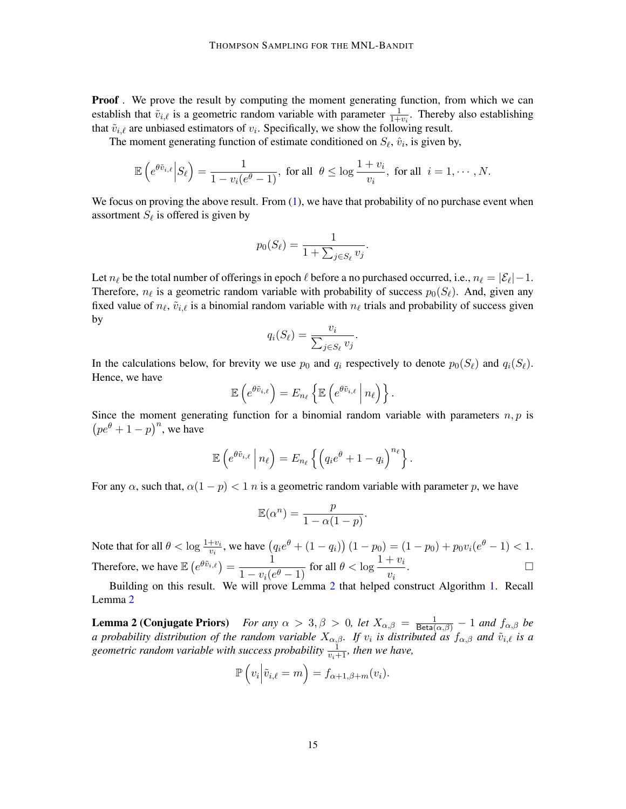**Proof**. We prove the result by computing the moment generating function, from which we can establish that  $\tilde{v}_{i,\ell}$  is a geometric random variable with parameter  $\frac{1}{1+v_i}$ . Thereby also establishing that  $\tilde{v}_{i,\ell}$  are unbiased estimators of  $v_i$ . Specifically, we show the following result.

The moment generating function of estimate conditioned on  $S_{\ell}$ ,  $\hat{v}_i$ , is given by,

$$
\mathbb{E}\left(e^{\theta\tilde{v}_{i,\ell}}\Big|S_{\ell}\right)=\frac{1}{1-v_i(e^{\theta}-1)},\text{ for all }\ \theta\leq \log\frac{1+v_i}{v_i},\text{ for all }\ i=1,\cdots,N.
$$

We focus on proving the above result. From  $(1)$ , we have that probability of no purchase event when assortment  $S_{\ell}$  is offered is given by

$$
p_0(S_{\ell}) = \frac{1}{1 + \sum_{j \in S_{\ell}} v_j}.
$$

Let  $n_\ell$  be the total number of offerings in epoch  $\ell$  before a no purchased occurred, i.e.,  $n_\ell = |\mathcal{E}_\ell| - 1$ . Therefore,  $n_\ell$  is a geometric random variable with probability of success  $p_0(S_\ell)$ . And, given any fixed value of  $n_\ell$ ,  $\tilde{v}_{i,\ell}$  is a binomial random variable with  $n_\ell$  trials and probability of success given by

$$
q_i(S_{\ell}) = \frac{v_i}{\sum_{j \in S_{\ell}} v_j}.
$$

In the calculations below, for brevity we use  $p_0$  and  $q_i$  respectively to denote  $p_0(S_\ell)$  and  $q_i(S_\ell)$ . Hence, we have

$$
\mathbb{E}\left(e^{\theta\tilde{v}_{i,\ell}}\right)=E_{n_{\ell}}\left\{\mathbb{E}\left(e^{\theta\tilde{v}_{i,\ell}}\,\middle|\,n_{\ell}\right)\right\}.
$$

Since the moment generating function for a binomial random variable with parameters  $n, p$  is  $\left( pe^{\theta} + 1 - p \right)^n$ , we have

$$
\mathbb{E}\left(e^{\theta\tilde{v}_{i,\ell}}\,\Big|\,n_{\ell}\right) = E_{n_{\ell}}\left\{\left(q_{i}e^{\theta}+1-q_{i}\right)^{n_{\ell}}\right\}.
$$

For any  $\alpha$ , such that,  $\alpha(1 - p) < 1$  n is a geometric random variable with parameter p, we have

$$
\mathbb{E}(\alpha^n) = \frac{p}{1 - \alpha(1 - p)}.
$$

Note that for all  $\theta < \log \frac{1+v_i}{v_i}$ , we have  $(q_i e^{\theta} + (1-q_i))(1-p_0) = (1-p_0) + p_0 v_i (e^{\theta} - 1) < 1$ . Therefore, we have  $\mathbb{E}\left(e^{\theta \tilde{v}_{i,\ell}}\right) = \frac{1}{1-\epsilon}$  $\frac{1}{1-v_i(e^{\theta}-1)}$  for all  $\theta<\log\frac{1+v_i}{v_i}$ .

Building on this result. We will prove Lemma [2](#page-7-1) that helped construct Algorithm [1.](#page-6-0) Recall Lemma [2](#page-7-1)

**Lemma 2 (Conjugate Priors)** For any  $\alpha > 3, \beta > 0$ , let  $X_{\alpha,\beta} = \frac{1}{\text{Beta}(\alpha,\beta)} - 1$  and  $f_{\alpha,\beta}$  be *a* probability distribution of the random variable  $X_{\alpha,\beta}$ . If  $v_i$  is distributed as  $f_{\alpha,\beta}$  and  $\tilde{v}_{i,\ell}$  is a geometric random variable with success probability  $\frac{1}{v_i+1}$ , then we have,

$$
\mathbb{P}\left(v_i\middle| \tilde{v}_{i,\ell} = m\right) = f_{\alpha+1,\beta+m}(v_i).
$$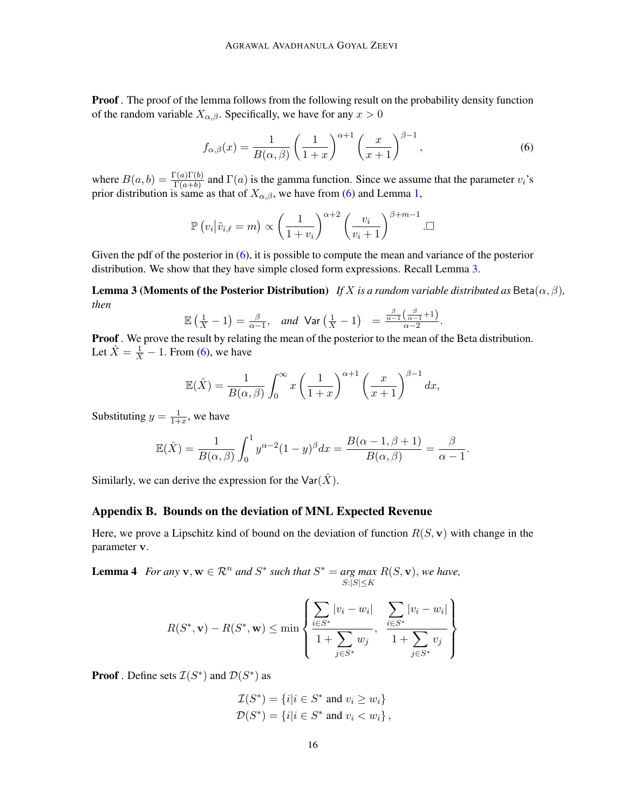**Proof**. The proof of the lemma follows from the following result on the probability density function of the random variable  $X_{\alpha,\beta}$ . Specifically, we have for any  $x > 0$ 

<span id="page-15-0"></span>
$$
f_{\alpha,\beta}(x) = \frac{1}{B(\alpha,\beta)} \left(\frac{1}{1+x}\right)^{\alpha+1} \left(\frac{x}{x+1}\right)^{\beta-1},\tag{6}
$$

where  $B(a, b) = \frac{\Gamma(a)\Gamma(b)}{\Gamma(a+b)}$  and  $\Gamma(a)$  is the gamma function. Since we assume that the parameter  $v_i$ 's prior distribution is same as that of  $X_{\alpha,\beta}$ , we have from [\(6\)](#page-15-0) and Lemma [1,](#page-6-1)

$$
\mathbb{P}\left(v_i\big|\tilde{v}_{i,\ell}=m\right) \propto \left(\frac{1}{1+v_i}\right)^{\alpha+2} \left(\frac{v_i}{v_i+1}\right)^{\beta+m-1}.\square
$$

Given the pdf of the posterior in [\(6\)](#page-15-0), it is possible to compute the mean and variance of the posterior distribution. We show that they have simple closed form expressions. Recall Lemma [3.](#page-7-2)

**Lemma 3 (Moments of the Posterior Distribution)** *If* X *is a random variable distributed as* Beta $(\alpha, \beta)$ *, then*

$$
\mathbb{E}\left(\frac{1}{X}-1\right)=\frac{\beta}{\alpha-1}, \quad \text{and} \quad \text{Var}\left(\frac{1}{X}-1\right) = \frac{\frac{\beta}{\alpha-1}\left(\frac{\beta}{\alpha-1}+1\right)}{\alpha-2}.
$$

Proof . We prove the result by relating the mean of the posterior to the mean of the Beta distribution. Let  $\hat{X} = \frac{1}{X} - 1$ . From [\(6\)](#page-15-0), we have

$$
\mathbb{E}(\hat{X}) = \frac{1}{B(\alpha,\beta)} \int_0^\infty x \left(\frac{1}{1+x}\right)^{\alpha+1} \left(\frac{x}{x+1}\right)^{\beta-1} dx,
$$

Substituting  $y = \frac{1}{1+y}$  $\frac{1}{1+x}$ , we have

$$
\mathbb{E}(\hat{X}) = \frac{1}{B(\alpha,\beta)} \int_0^1 y^{\alpha-2} (1-y)^{\beta} dx = \frac{B(\alpha-1,\beta+1)}{B(\alpha,\beta)} = \frac{\beta}{\alpha-1}.
$$

Similarly, we can derive the expression for the  $\text{Var}(\hat{X})$ .

### Appendix B. Bounds on the deviation of MNL Expected Revenue

Here, we prove a Lipschitz kind of bound on the deviation of function  $R(S, v)$  with change in the parameter v.

<span id="page-15-1"></span>**Lemma 4** For any  $\mathbf{v}, \mathbf{w} \in \mathbb{R}^n$  and  $S^*$  such that  $S^* = \arg \max R(S, \mathbf{v})$ , we have,  $S$ : $|S|$   $\leq K$ 

$$
R(S^*, \mathbf{v}) - R(S^*, \mathbf{w}) \le \min \left\{ \frac{\sum_{i \in S^*} |v_i - w_i|}{1 + \sum_{j \in S^*} w_j}, \frac{\sum_{i \in S^*} |v_i - w_i|}{1 + \sum_{j \in S^*} v_j} \right\}
$$

**Proof**. Define sets  $\mathcal{I}(S^*)$  and  $\mathcal{D}(S^*)$  as

$$
\mathcal{I}(S^*) = \{i | i \in S^* \text{ and } v_i \ge w_i\}
$$
  

$$
\mathcal{D}(S^*) = \{i | i \in S^* \text{ and } v_i < w_i\},
$$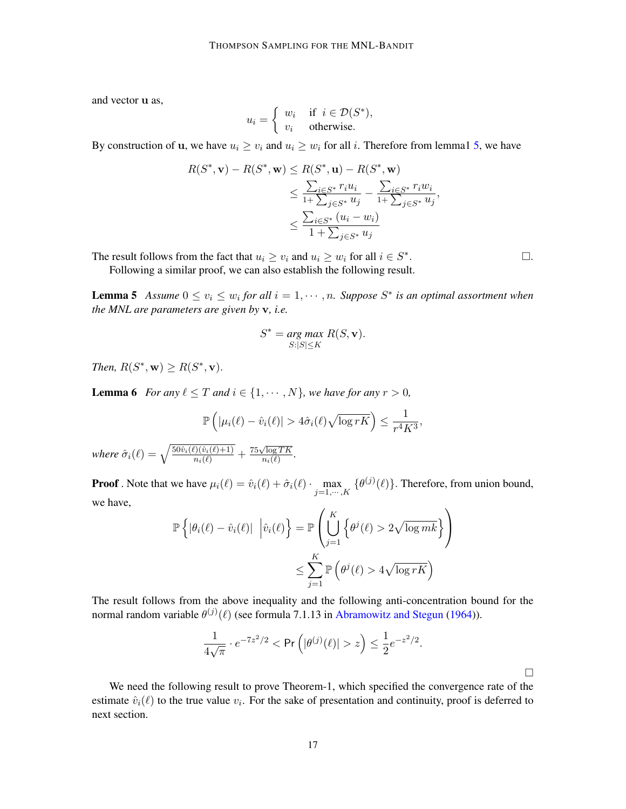and vector u as,

$$
u_i = \begin{cases} w_i & \text{if } i \in \mathcal{D}(S^*), \\ v_i & \text{otherwise.} \end{cases}
$$

By construction of **u**, we have  $u_i \geq v_i$  and  $u_i \geq w_i$  for all i. Therefore from lemmal [5,](#page-16-0) we have

$$
R(S^*, \mathbf{v}) - R(S^*, \mathbf{w}) \le R(S^*, \mathbf{u}) - R(S^*, \mathbf{w})
$$
  
\n
$$
\le \frac{\sum_{i \in S^*} r_i u_i}{1 + \sum_{j \in S^*} u_j} - \frac{\sum_{i \in S^*} r_i w_i}{1 + \sum_{j \in S^*} u_j},
$$
  
\n
$$
\le \frac{\sum_{i \in S^*} (u_i - w_i)}{1 + \sum_{j \in S^*} u_j}
$$

The result follows from the fact that  $u_i \ge v_i$  and  $u_i \ge w_i$  for all  $i \in S^*$ 

Following a similar proof, we can also establish the following result.

<span id="page-16-0"></span>**Lemma 5** Assume  $0 \le v_i \le w_i$  for all  $i = 1, \dots, n$ . Suppose  $S^*$  is an optimal assortment when *the MNL are parameters are given by* v*, i.e.*

$$
S^* = \underset{S:|S| \le K}{\arg\max} R(S, \mathbf{v}).
$$

*Then,*  $R(S^*, \mathbf{w}) \geq R(S^*, \mathbf{v})$ *.* 

<span id="page-16-1"></span>**Lemma 6** *For any*  $\ell \leq T$  *and*  $i \in \{1, \dots, N\}$ *, we have for any*  $r > 0$ *,* 

$$
\mathbb{P}\left(|\mu_i(\ell) - \hat{v}_i(\ell)| > 4\hat{\sigma}_i(\ell)\sqrt{\log rK}\right) \le \frac{1}{r^4K^3},
$$

*where*  $\hat{\sigma}_i(\ell) = \sqrt{\frac{50\hat{v}_i(\ell)(\hat{v}_i(\ell)+1)}{n_i(\ell)}} +$  $75\sqrt{\log TK}$  $\frac{\log T K}{n_i(\ell)}$ .

**Proof** . Note that we have  $\mu_i(\ell) = \hat{v}_i(\ell) + \hat{\sigma}_i(\ell) \cdot \max_{j=1,\dots,K} \{\theta^{(j)}(\ell)\}\.$  Therefore, from union bound, we have,

$$
\mathbb{P}\left\{|\theta_i(\ell) - \hat{v}_i(\ell)| \, \left|\hat{v}_i(\ell)\right.\right\} = \mathbb{P}\left(\bigcup_{j=1}^K \left\{\theta^j(\ell) > 2\sqrt{\log mk}\right\}\right)
$$

$$
\leq \sum_{j=1}^K \mathbb{P}\left(\theta^j(\ell) > 4\sqrt{\log rK}\right)
$$

The result follows from the above inequality and the following anti-concentration bound for the normal random variable  $\theta^{(j)}(\ell)$  (see formula 7.1.13 in [Abramowitz and Stegun](#page-12-6) [\(1964\)](#page-12-6)).

$$
\frac{1}{4\sqrt{\pi}} \cdot e^{-7z^2/2} < \Pr\left(|\theta^{(j)}(\ell)| > z\right) \le \frac{1}{2} e^{-z^2/2}.
$$

 $\Box$ 

<span id="page-16-2"></span>We need the following result to prove Theorem-1, which specified the convergence rate of the estimate  $\hat{v}_i(\ell)$  to the true value  $v_i$ . For the sake of presentation and continuity, proof is deferred to next section.

.  $\square$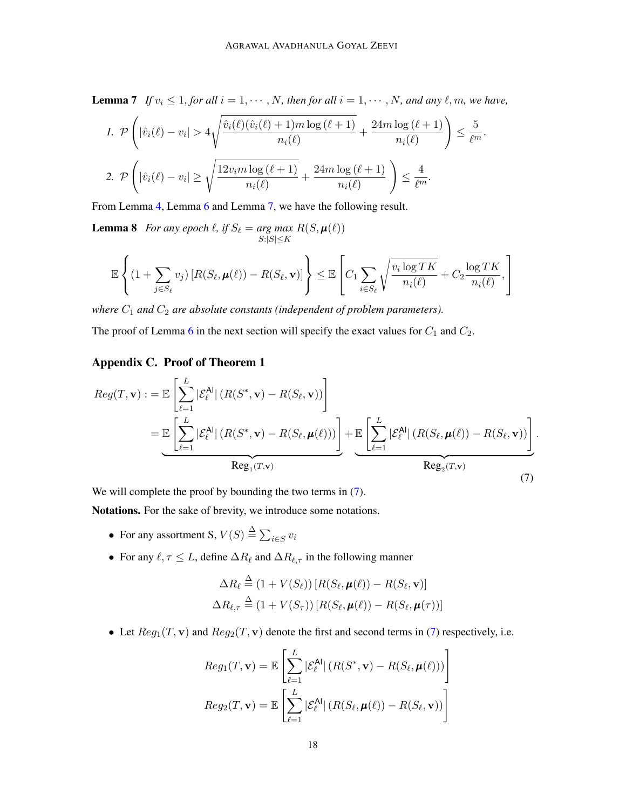**Lemma 7** *If*  $v_i \leq 1$ , *for all*  $i = 1, \dots, N$ , *then for all*  $i = 1, \dots, N$ , *and any*  $\ell, m$ , *we have*,

$$
1. \ \mathcal{P}\left(|\hat{v}_i(\ell)-v_i|>4\sqrt{\frac{\hat{v}_i(\ell)(\hat{v}_i(\ell)+1)m\log(\ell+1)}{n_i(\ell)}}+\frac{24m\log(\ell+1)}{n_i(\ell)}\right)\leq \frac{5}{\ell^m}.
$$
  

$$
2. \ \mathcal{P}\left(|\hat{v}_i(\ell)-v_i|\geq \sqrt{\frac{12v_im\log(\ell+1)}{n_i(\ell)}}+\frac{24m\log(\ell+1)}{n_i(\ell)}\right)\leq \frac{4}{\ell^m}.
$$

From Lemma [4,](#page-15-1) Lemma [6](#page-16-1) and Lemma [7,](#page-16-2) we have the following result.

**Lemma 8** *For any epoch*  $\ell$ *, if*  $S_{\ell} = arg max$  $S:|S|\leq K$  $R(S, \boldsymbol{\mu}(\ell))$ 

<span id="page-17-1"></span>
$$
\mathbb{E}\left\{(1+\sum_{j\in S_{\ell}}v_j)\left[R(S_{\ell},\pmb{\mu}(\ell))-R(S_{\ell},\mathbf{v})\right]\right\}\leq \mathbb{E}\left[C_1\sum_{i\in S_{\ell}}\sqrt{\frac{v_i\log TK}{n_i(\ell)}}+C_2\frac{\log TK}{n_i(\ell)},\right]
$$

*where*  $C_1$  *and*  $C_2$  *are absolute constants (independent of problem parameters).* 

The proof of Lemma [6](#page-16-1) in the next section will specify the exact values for  $C_1$  and  $C_2$ .

## <span id="page-17-0"></span>Appendix C. Proof of Theorem 1

<span id="page-17-2"></span>
$$
Reg(T, \mathbf{v}) := \mathbb{E}\left[\sum_{\ell=1}^{L} |\mathcal{E}_{\ell}^{\mathsf{Al}}| (R(S^*, \mathbf{v}) - R(S_{\ell}, \mathbf{v}))\right]
$$
  
= 
$$
\mathbb{E}\left[\sum_{\ell=1}^{L} |\mathcal{E}_{\ell}^{\mathsf{Al}}| (R(S^*, \mathbf{v}) - R(S_{\ell}, \boldsymbol{\mu}(\ell)))\right] + \mathbb{E}\left[\sum_{\ell=1}^{L} |\mathcal{E}_{\ell}^{\mathsf{Al}}| (R(S_{\ell}, \boldsymbol{\mu}(\ell)) - R(S_{\ell}, \mathbf{v}))\right]
$$
  
Reg<sub>1</sub>(T,v)  
(7)

We will complete the proof by bounding the two terms in  $(7)$ .

Notations. For the sake of brevity, we introduce some notations.

- For any assortment S,  $V(S) \stackrel{\Delta}{=} \sum_{i \in S} v_i$
- For any  $\ell, \tau \leq L$ , define  $\Delta R_{\ell}$  and  $\Delta R_{\ell,\tau}$  in the following manner

$$
\Delta R_{\ell} \stackrel{\Delta}{=} (1 + V(S_{\ell})) [R(S_{\ell}, \mu(\ell)) - R(S_{\ell}, \mathbf{v})]
$$
  

$$
\Delta R_{\ell, \tau} \stackrel{\Delta}{=} (1 + V(S_{\tau})) [R(S_{\ell}, \mu(\ell)) - R(S_{\ell}, \mu(\tau))]
$$

• Let  $Reg_1(T, v)$  and  $Reg_2(T, v)$  denote the first and second terms in [\(7\)](#page-17-2) respectively, i.e.

$$
Reg_1(T, \mathbf{v}) = \mathbb{E}\left[\sum_{\ell=1}^{L} |\mathcal{E}_{\ell}^{Al}| (R(S^*, \mathbf{v}) - R(S_{\ell}, \boldsymbol{\mu}(\ell)))\right]
$$

$$
Reg_2(T, \mathbf{v}) = \mathbb{E}\left[\sum_{\ell=1}^{L} |\mathcal{E}_{\ell}^{Al}| (R(S_{\ell}, \boldsymbol{\mu}(\ell)) - R(S_{\ell}, \mathbf{v}))\right]
$$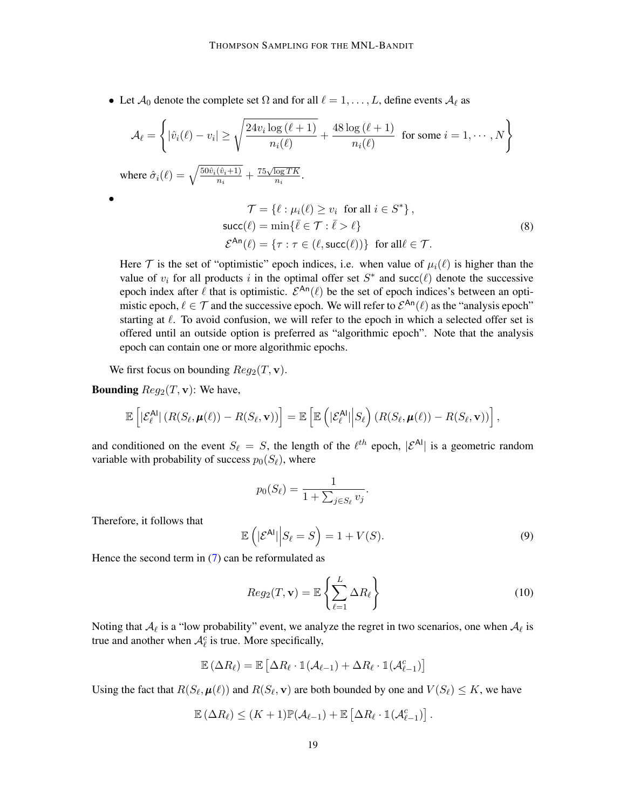• Let  $\mathcal{A}_0$  denote the complete set  $\Omega$  and for all  $\ell = 1, \ldots, L$ , define events  $\mathcal{A}_\ell$  as

$$
\mathcal{A}_{\ell} = \left\{ |\hat{v}_i(\ell) - v_i| \ge \sqrt{\frac{24v_i \log (\ell + 1)}{n_i(\ell)}} + \frac{48 \log (\ell + 1)}{n_i(\ell)} \text{ for some } i = 1, \dots, N \right\}
$$
  
where  $\hat{\sigma}_i(\ell) = \sqrt{\frac{50\hat{v}_i(\hat{v}_i + 1)}{n_i}} + \frac{75\sqrt{\log TK}}{n_i}$ .  

$$
\mathcal{T} = \{ \ell : \mu_i(\ell) \ge v_i \text{ for all } i \in S^* \},
$$

<span id="page-18-2"></span>
$$
I = \{t : \mu_t(t) \geq v_t \text{ for all } t \in D \} \,,
$$
  
\nsucc(\ell) = min{\bar{\ell} \in T : \bar{\ell} > \ell}  
\n
$$
\mathcal{E}^{\text{An}}(\ell) = \{\tau : \tau \in (\ell, \text{succ}(\ell))\} \text{ for all } \ell \in T. \tag{8}
$$

Here  $\mathcal T$  is the set of "optimistic" epoch indices, i.e. when value of  $\mu_i(\ell)$  is higher than the value of  $v_i$  for all products i in the optimal offer set  $S^*$  and succ $(\ell)$  denote the successive epoch index after  $\ell$  that is optimistic.  $\mathcal{E}^{An}(\ell)$  be the set of epoch indices's between an optimistic epoch,  $\ell \in \mathcal{T}$  and the successive epoch. We will refer to  $\mathcal{E}^{An}(\ell)$  as the "analysis epoch" starting at  $\ell$ . To avoid confusion, we will refer to the epoch in which a selected offer set is offered until an outside option is preferred as "algorithmic epoch". Note that the analysis epoch can contain one or more algorithmic epochs.

We first focus on bounding  $Reg_2(T, \mathbf{v})$ .

**Bounding**  $Reg_2(T, v)$ : We have,

•

$$
\mathbb{E}\left[\left|\mathcal{E}_{\ell}^{\mathsf{Al}}\right| (R(S_{\ell}, \boldsymbol{\mu}(\ell)) - R(S_{\ell}, \mathbf{v}))\right] = \mathbb{E}\left[\mathbb{E}\left(|\mathcal{E}_{\ell}^{\mathsf{Al}}\right| \big| S_{\ell}\right) (R(S_{\ell}, \boldsymbol{\mu}(\ell)) - R(S_{\ell}, \mathbf{v}))\right],
$$

and conditioned on the event  $S_\ell = S$ , the length of the  $\ell^{th}$  epoch,  $|{\mathcal{E}}^{\mathsf{Al}}|$  is a geometric random variable with probability of success  $p_0(S_\ell)$ , where

$$
p_0(S_{\ell}) = \frac{1}{1 + \sum_{j \in S_{\ell}} v_j}.
$$

Therefore, it follows that

<span id="page-18-0"></span>
$$
\mathbb{E}\left(|\mathcal{E}^{\mathsf{Al}}|\Big|S_{\ell}=S\right)=1+V(S).
$$
\n(9)

Hence the second term in  $(7)$  can be reformulated as

<span id="page-18-1"></span>
$$
Reg_2(T, \mathbf{v}) = \mathbb{E}\left\{\sum_{\ell=1}^{L} \Delta R_{\ell}\right\}
$$
\n(10)

Noting that  $A_\ell$  is a "low probability" event, we analyze the regret in two scenarios, one when  $A_\ell$  is true and another when  $\mathcal{A}_{\ell}^c$  is true. More specifically,

$$
\mathbb{E}\left(\Delta R_\ell\right) = \mathbb{E}\left[\Delta R_\ell \cdot \mathbb{1}(\mathcal{A}_{\ell-1}) + \Delta R_\ell \cdot \mathbb{1}(\mathcal{A}_{\ell-1}^c)\right]
$$

Using the fact that  $R(S_\ell, \mu(\ell))$  and  $R(S_\ell, \mathbf{v})$  are both bounded by one and  $V(S_\ell) \leq K$ , we have

$$
\mathbb{E}(\Delta R_{\ell}) \leq (K+1)\mathbb{P}(\mathcal{A}_{\ell-1}) + \mathbb{E}\left[\Delta R_{\ell} \cdot \mathbb{1}(\mathcal{A}_{\ell-1}^c)\right].
$$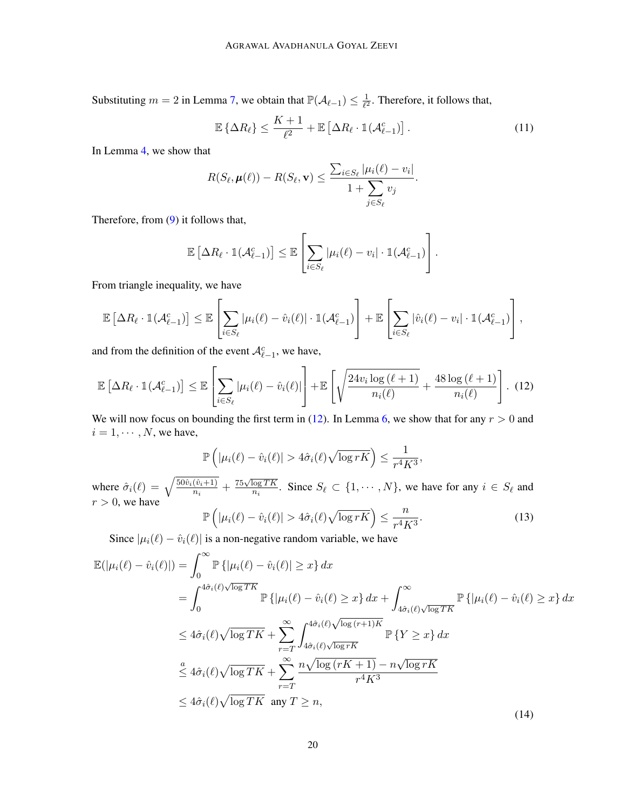Substituting  $m = 2$  in Lemma [7,](#page-16-2) we obtain that  $\mathbb{P}(\mathcal{A}_{\ell-1}) \leq \frac{1}{\ell^2}$  $\frac{1}{\ell^2}$ . Therefore, it follows that,

<span id="page-19-2"></span>
$$
\mathbb{E}\left\{\Delta R_{\ell}\right\} \le \frac{K+1}{\ell^2} + \mathbb{E}\left[\Delta R_{\ell} \cdot \mathbb{1}(\mathcal{A}_{\ell-1}^c)\right].\tag{11}
$$

In Lemma [4,](#page-15-1) we show that

$$
R(S_{\ell}, \boldsymbol{\mu}(\ell)) - R(S_{\ell}, \mathbf{v}) \leq \frac{\sum_{i \in S_{\ell}} |\mu_i(\ell) - v_i|}{1 + \sum_{j \in S_{\ell}} v_j}.
$$

Therefore, from [\(9\)](#page-18-0) it follows that,

$$
\mathbb{E}\left[\Delta R_{\ell}\cdot \mathbb{1}(\mathcal{A}_{\ell-1}^c)\right] \leq \mathbb{E}\left[\sum_{i\in S_{\ell}}|\mu_i(\ell)-v_i|\cdot \mathbb{1}(\mathcal{A}_{\ell-1}^c)\right].
$$

From triangle inequality, we have

$$
\mathbb{E}\left[\Delta R_{\ell} \cdot \mathbb{1}(\mathcal{A}_{\ell-1}^c)\right] \leq \mathbb{E}\left[\sum_{i \in S_{\ell}} |\mu_i(\ell) - \hat{v}_i(\ell)| \cdot \mathbb{1}(\mathcal{A}_{\ell-1}^c)\right] + \mathbb{E}\left[\sum_{i \in S_{\ell}} |\hat{v}_i(\ell) - v_i| \cdot \mathbb{1}(\mathcal{A}_{\ell-1}^c)\right],
$$

and from the definition of the event  $\mathcal{A}_{\ell-1}^c$ , we have,

<span id="page-19-0"></span>
$$
\mathbb{E}\left[\Delta R_{\ell} \cdot \mathbb{1}(\mathcal{A}_{\ell-1}^c)\right] \leq \mathbb{E}\left[\sum_{i \in S_{\ell}} |\mu_i(\ell) - \hat{v}_i(\ell)|\right] + \mathbb{E}\left[\sqrt{\frac{24v_i \log(\ell+1)}{n_i(\ell)}} + \frac{48 \log(\ell+1)}{n_i(\ell)}\right].
$$
 (12)

We will now focus on bounding the first term in [\(12\)](#page-19-0). In Lemma [6,](#page-16-1) we show that for any  $r > 0$  and  $i = 1, \cdots, N$ , we have,

$$
\mathbb{P}\left(|\mu_i(\ell) - \hat{v}_i(\ell)| > 4\hat{\sigma}_i(\ell)\sqrt{\log rK}\right) \le \frac{1}{r^4K^3},
$$

where  $\hat{\sigma}_i(\ell) = \sqrt{\frac{50\hat{v}_i(\hat{v}_i+1)}{n_i}} + \frac{75\sqrt{\log TK}}{n_i}$  $\frac{\log T K}{n_i}$ . Since  $S_\ell \subset \{1, \cdots, N\}$ , we have for any  $i \in S_\ell$  and  $r > 0$ , we have  $\mathbb I$ 

<span id="page-19-1"></span>
$$
\mathbb{P}\left(|\mu_i(\ell) - \hat{v}_i(\ell)| > 4\hat{\sigma}_i(\ell)\sqrt{\log rK}\right) \le \frac{n}{r^4K^3}.\tag{13}
$$

Since  $|\mu_i(\ell) - \hat{v}_i(\ell)|$  is a non-negative random variable, we have

<span id="page-19-3"></span>
$$
\mathbb{E}(|\mu_i(\ell) - \hat{v}_i(\ell)|) = \int_0^\infty \mathbb{P}\left\{ |\mu_i(\ell) - \hat{v}_i(\ell)| \ge x \right\} dx
$$
\n
$$
= \int_0^{4\hat{\sigma}_i(\ell)\sqrt{\log TK}} \mathbb{P}\left\{ |\mu_i(\ell) - \hat{v}_i(\ell) \ge x \right\} dx + \int_{4\hat{\sigma}_i(\ell)\sqrt{\log TK}}^{\infty} \mathbb{P}\left\{ |\mu_i(\ell) - \hat{v}_i(\ell) \ge x \right\} dx
$$
\n
$$
\le 4\hat{\sigma}_i(\ell)\sqrt{\log TK} + \sum_{r=T}^{\infty} \int_{4\hat{\sigma}_i(\ell)\sqrt{\log rk}}^{4\hat{\sigma}_i(\ell)\sqrt{\log(r+1)K}} \mathbb{P}\left\{ Y \ge x \right\} dx
$$
\n
$$
\le 4\hat{\sigma}_i(\ell)\sqrt{\log TK} + \sum_{r=T}^{\infty} \frac{n\sqrt{\log(rK+1)} - n\sqrt{\log rK}}{r^4K^3}
$$
\n
$$
\le 4\hat{\sigma}_i(\ell)\sqrt{\log TK} \text{ any } T \ge n,
$$
\n(14)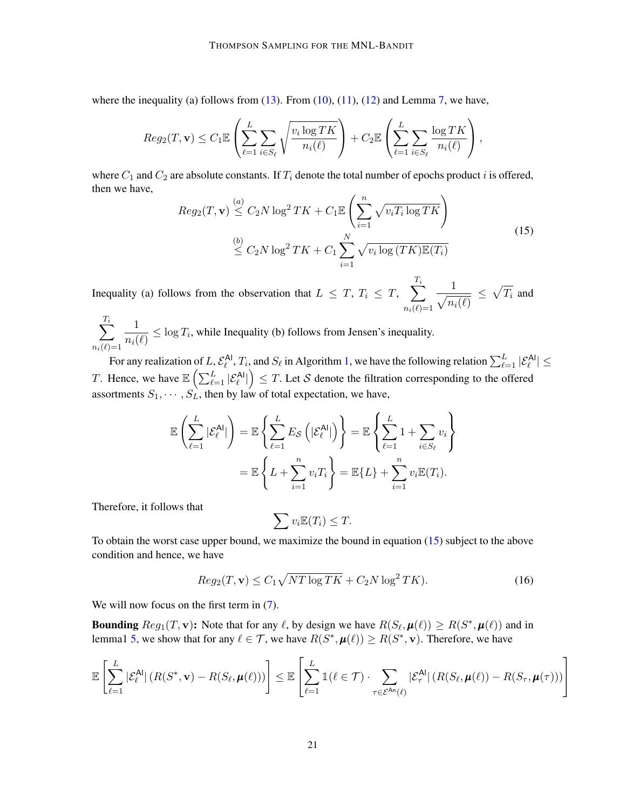where the inequality (a) follows from  $(13)$ . From  $(10)$ ,  $(11)$ ,  $(12)$  and Lemma [7,](#page-16-2) we have,

$$
Reg_2(T, \mathbf{v}) \leq C_1 \mathbb{E} \left( \sum_{\ell=1}^L \sum_{i \in S_{\ell}} \sqrt{\frac{v_i \log TK}{n_i(\ell)}} \right) + C_2 \mathbb{E} \left( \sum_{\ell=1}^L \sum_{i \in S_{\ell}} \frac{\log TK}{n_i(\ell)} \right),
$$

where  $C_1$  and  $C_2$  are absolute constants. If  $T_i$  denote the total number of epochs product i is offered, then we have,

<span id="page-20-0"></span>
$$
Reg_2(T, \mathbf{v}) \stackrel{(a)}{\leq} C_2 N \log^2 TK + C_1 \mathbb{E}\left(\sum_{i=1}^n \sqrt{v_i T_i \log TK}\right)
$$
  

$$
\stackrel{(b)}{\leq} C_2 N \log^2 TK + C_1 \sum_{i=1}^N \sqrt{v_i \log (TK) \mathbb{E}(T_i)}
$$
(15)

Inequality (a) follows from the observation that  $L \leq T$ ,  $T_i \leq T$ ,  $\sum$  $\frac{T_i}{\sqrt{1-\frac{1}{\sqrt{1-\frac{1}{\sqrt{1-\frac{1}{\sqrt{1-\frac{1}{\sqrt{1-\frac{1}{\sqrt{1-\frac{1}{\sqrt{1-\frac{1}{\sqrt{1-\frac{1}{\sqrt{1-\frac{1}{\sqrt{1-\frac{1}{\sqrt{1-\frac{1}{\sqrt{1-\frac{1}{\sqrt{1-\frac{1}{\sqrt{1-\frac{1}{\sqrt{1-\frac{1}{\sqrt{1-\frac{1}{\sqrt{1-\frac{1}{\sqrt{1-\frac{1}{\sqrt{1-\frac{1}{\sqrt{1-\frac{1}{\sqrt{1-\frac{1}{\sqrt{1-\frac{1}{\sqrt{1-\frac{1}{\sqrt{1-\frac{1$  $n_i(\ell)=1$  $\sqrt{n_i(\ell)}$  $\leq \sqrt{T_i}$  and

 $\sum$  $T_i$  $n_i(\ell)=1$ 1  $\frac{1}{n_i(\ell)} \leq \log T_i$ , while Inequality (b) follows from Jensen's inequality.

For any realization of  $L$ ,  $\mathcal{E}_{\ell}^{\mathsf{Al}}$ ,  $T_i$ , and  $S_{\ell}$  in Algorithm [1,](#page-6-0) we have the following relation  $\sum_{\ell=1}^L |\mathcal{E}_{\ell}^{\mathsf{Al}}| \leq$ T. Hence, we have  $\mathbb{E}\left(\sum_{\ell=1}^L |\mathcal{E}^{\text{Al}}_{\ell}|\right) \leq T$ . Let S denote the filtration corresponding to the offered assortments  $S_1, \dots, S_L$ , then by law of total expectation, we have,

$$
\mathbb{E}\left(\sum_{\ell=1}^{L}|\mathcal{E}_{\ell}^{\mathsf{Al}}|\right) = \mathbb{E}\left\{\sum_{\ell=1}^{L}E_{\mathcal{S}}\left(|\mathcal{E}_{\ell}^{\mathsf{Al}}|\right)\right\} = \mathbb{E}\left\{\sum_{\ell=1}^{L}1 + \sum_{i\in S_{\ell}}v_{i}\right\}
$$

$$
= \mathbb{E}\left\{L + \sum_{i=1}^{n}v_{i}T_{i}\right\} = \mathbb{E}\{L\} + \sum_{i=1}^{n}v_{i}\mathbb{E}(T_{i}).
$$

Therefore, it follows that

$$
\sum v_i \mathbb{E}(T_i) \leq T.
$$

To obtain the worst case upper bound, we maximize the bound in equation [\(15\)](#page-20-0) subject to the above condition and hence, we have

<span id="page-20-1"></span>
$$
Reg_2(T, \mathbf{v}) \le C_1 \sqrt{NT \log TK} + C_2 N \log^2 TK). \tag{16}
$$

We will now focus on the first term in  $(7)$ .

**Bounding**  $Reg_1(T, \mathbf{v})$ : Note that for any  $\ell$ , by design we have  $R(S_{\ell}, \boldsymbol{\mu}(\ell)) \ge R(S^*, \boldsymbol{\mu}(\ell))$  and in lemma1 [5,](#page-16-0) we show that for any  $\ell \in \mathcal{T}$ , we have  $R(S^*, \mu(\ell)) \geq R(S^*, \mathbf{v})$ . Therefore, we have

$$
\mathbb{E}\left[\sum_{\ell=1}^{L}|\mathcal{E}_{\ell}^{\mathsf{Al}}|\left(R(S^*,\mathbf{v})-R(S_{\ell},\pmb{\mu}(\ell))\right)\right]\leq \mathbb{E}\left[\sum_{\ell=1}^{L}\mathbb{1}(\ell\in\mathcal{T})\cdot\sum_{\tau\in\mathcal{E}^{\mathsf{An}}(\ell)}|\mathcal{E}_{\tau}^{\mathsf{Al}}|\left(R(S_{\ell},\pmb{\mu}(\ell))-R(S_{\tau},\pmb{\mu}(\tau))\right)\right]
$$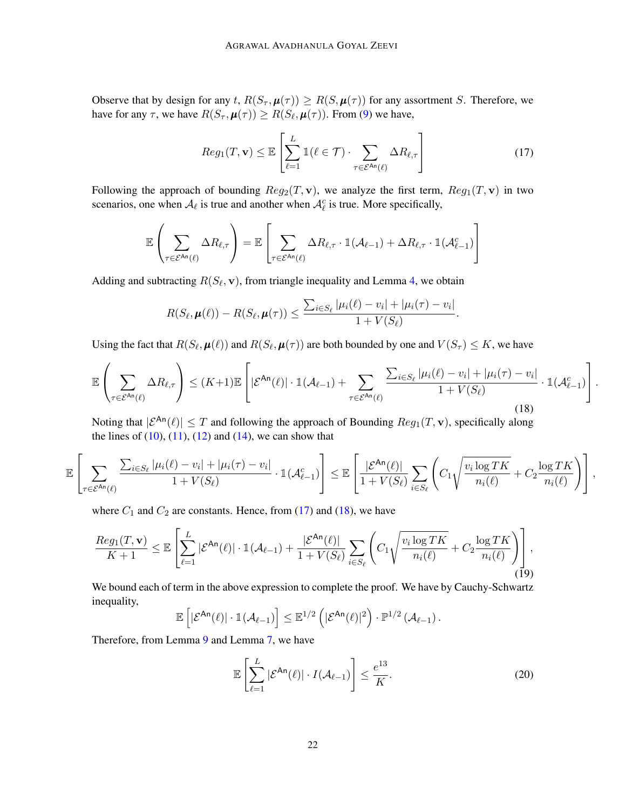Observe that by design for any t,  $R(S_{\tau}, \mu(\tau)) \geq R(S, \mu(\tau))$  for any assortment S. Therefore, we have for any  $\tau$ , we have  $R(S_{\tau}, \mu(\tau)) \ge R(S_{\ell}, \mu(\tau))$ . From [\(9\)](#page-18-0) we have,

<span id="page-21-0"></span>
$$
Reg_1(T, \mathbf{v}) \leq \mathbb{E}\left[\sum_{\ell=1}^{L} \mathbb{1}(\ell \in \mathcal{T}) \cdot \sum_{\tau \in \mathcal{E}^{\mathsf{An}}(\ell)} \Delta R_{\ell, \tau}\right]
$$
(17)

Following the approach of bounding  $Reg_2(T, v)$ , we analyze the first term,  $Reg_1(T, v)$  in two scenarios, one when  $A_\ell$  is true and another when  $A_\ell^c$  is true. More specifically,

$$
\mathbb{E}\left(\sum_{\tau \in \mathcal{E}^{\mathrm{An}}(\ell)} \Delta R_{\ell,\tau}\right) = \mathbb{E}\left[\sum_{\tau \in \mathcal{E}^{\mathrm{An}}(\ell)} \Delta R_{\ell,\tau} \cdot \mathbb{1}(\mathcal{A}_{\ell-1}) + \Delta R_{\ell,\tau} \cdot \mathbb{1}(\mathcal{A}_{\ell-1}^c)\right]
$$

Adding and subtracting  $R(S_\ell, \mathbf{v})$ , from triangle inequality and Lemma [4,](#page-15-1) we obtain

$$
R(S_{\ell}, \boldsymbol{\mu}(\ell)) - R(S_{\ell}, \boldsymbol{\mu}(\tau)) \leq \frac{\sum_{i \in S_{\ell}} |\mu_i(\ell) - v_i| + |\mu_i(\tau) - v_i|}{1 + V(S_{\ell})}.
$$

Using the fact that  $R(S_\ell, \mu(\ell))$  and  $R(S_\ell, \mu(\tau))$  are both bounded by one and  $V(S_\tau) \le K$ , we have

<span id="page-21-1"></span>
$$
\mathbb{E}\left(\sum_{\tau\in\mathcal{E}^{\mathsf{An}}(\ell)}\Delta R_{\ell,\tau}\right) \leq (K+1)\mathbb{E}\left[|\mathcal{E}^{\mathsf{An}}(\ell)|\cdot \mathbb{1}(\mathcal{A}_{\ell-1}) + \sum_{\tau\in\mathcal{E}^{\mathsf{An}}(\ell)}\frac{\sum_{i\in S_{\ell}}|\mu_i(\ell)-v_i| + |\mu_i(\tau)-v_i|}{1+V(S_{\ell})}\cdot \mathbb{1}(\mathcal{A}_{\ell-1}^c)\right].
$$
\n(18)

Noting that  $|\mathcal{E}^{An}(\ell)| \leq T$  and following the approach of Bounding  $Req_1(T, v)$ , specifically along the lines of  $(10)$ ,  $(11)$ ,  $(12)$  and  $(14)$ , we can show that

$$
\mathbb{E}\left[\sum_{\tau\in\mathcal{E}^{\mathsf{An}}(\ell)}\frac{\sum_{i\in S_{\ell}}|\mu_i(\ell)-v_i|+|\mu_i(\tau)-v_i|}{1+V(S_{\ell})}\cdot \mathbb{1}(\mathcal{A}_{\ell-1}^c)\right]\leq \mathbb{E}\left[\frac{|\mathcal{E}^{\mathsf{An}}(\ell)|}{1+V(S_{\ell})}\sum_{i\in S_{\ell}}\left(C_1\sqrt{\frac{v_i\log TK}{n_i(\ell)}}+C_2\frac{\log TK}{n_i(\ell)}\right)\right],
$$

where  $C_1$  and  $C_2$  are constants. Hence, from [\(17\)](#page-21-0) and [\(18\)](#page-21-1), we have

<span id="page-21-2"></span>
$$
\frac{Reg_1(T, \mathbf{v})}{K+1} \leq \mathbb{E}\left[\sum_{\ell=1}^L |\mathcal{E}^{\mathsf{An}}(\ell)| \cdot \mathbb{1}(\mathcal{A}_{\ell-1}) + \frac{|\mathcal{E}^{\mathsf{An}}(\ell)|}{1 + V(S_{\ell})} \sum_{i \in S_{\ell}} \left(C_1 \sqrt{\frac{v_i \log TK}{n_i(\ell)}} + C_2 \frac{\log TK}{n_i(\ell)}\right)\right],
$$
(19)

We bound each of term in the above expression to complete the proof. We have by Cauchy-Schwartz inequality,

$$
\mathbb{E}\left[|\mathcal{E}^{\mathsf{An}}(\ell)|\cdot \mathbb{1}(\mathcal{A}_{\ell-1})\right] \leq \mathbb{E}^{1/2}\left(|\mathcal{E}^{\mathsf{An}}(\ell)|^2\right)\cdot \mathbb{P}^{1/2}\left(\mathcal{A}_{\ell-1}\right).
$$

Therefore, from Lemma [9](#page-23-1) and Lemma [7,](#page-16-2) we have

<span id="page-21-3"></span>
$$
\mathbb{E}\left[\sum_{\ell=1}^{L}|\mathcal{E}^{\mathsf{An}}(\ell)|\cdot I(\mathcal{A}_{\ell-1})\right] \leq \frac{e^{13}}{K}.\tag{20}
$$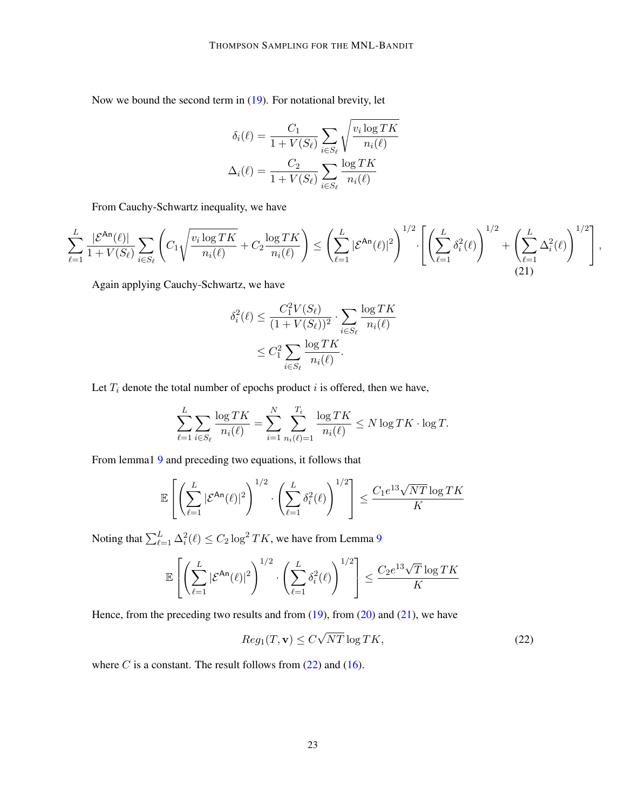Now we bound the second term in [\(19\)](#page-21-2). For notational brevity, let

$$
\delta_i(\ell) = \frac{C_1}{1 + V(S_{\ell})} \sum_{i \in S_{\ell}} \sqrt{\frac{v_i \log TK}{n_i(\ell)}}
$$

$$
\Delta_i(\ell) = \frac{C_2}{1 + V(S_{\ell})} \sum_{i \in S_{\ell}} \frac{\log TK}{n_i(\ell)}
$$

From Cauchy-Schwartz inequality, we have

<span id="page-22-0"></span>
$$
\sum_{\ell=1}^L\frac{|\mathcal{E}^{\mathsf{An}}(\ell)|}{1+V(S_{\ell})}\sum_{i\in S_{\ell}}\left(C_1\sqrt{\frac{v_i\log TK}{n_i(\ell)}}+C_2\frac{\log TK}{n_i(\ell)}\right)\leq \left(\sum_{\ell=1}^L|\mathcal{E}^{\mathsf{An}}(\ell)|^2\right)^{1/2}\cdot\left[\left(\sum_{\ell=1}^L\delta_i^2(\ell)\right)^{1/2}+\left(\sum_{\ell=1}^L\Delta_i^2(\ell)\right)^{1/2}\right],
$$
\n(21)

Again applying Cauchy-Schwartz, we have

$$
\delta_i^2(\ell) \le \frac{C_1^2 V(S_\ell)}{(1 + V(S_\ell))^2} \cdot \sum_{i \in S_\ell} \frac{\log TK}{n_i(\ell)}
$$

$$
\le C_1^2 \sum_{i \in S_\ell} \frac{\log TK}{n_i(\ell)}.
$$

Let  $T_i$  denote the total number of epochs product  $i$  is offered, then we have,

$$
\sum_{\ell=1}^{L} \sum_{i \in S_{\ell}} \frac{\log TK}{n_i(\ell)} = \sum_{i=1}^{N} \sum_{n_i(\ell)=1}^{T_i} \frac{\log TK}{n_i(\ell)} \le N \log TK \cdot \log T.
$$

From lemma1 [9](#page-23-1) and preceding two equations, it follows that

$$
\mathbb{E}\left[\left(\sum_{\ell=1}^L |\mathcal{E}^{\mathsf{An}}(\ell)|^2\right)^{1/2} \cdot \left(\sum_{\ell=1}^L \delta_i^2(\ell)\right)^{1/2}\right] \le \frac{C_1 e^{13}\sqrt{NT}\log TK}{K}
$$

Noting that  $\sum_{\ell=1}^L \Delta_i^2(\ell) \leq C_2 \log^2 TK$ , we have from Lemma [9](#page-23-1)

$$
\mathbb{E}\left[\left(\sum_{\ell=1}^L |\mathcal{E}^{\mathsf{An}}(\ell)|^2\right)^{1/2} \cdot \left(\sum_{\ell=1}^L \delta_i^2(\ell)\right)^{1/2}\right] \leq \frac{C_2 e^{13} \sqrt{T} \log TK}{K}
$$

Hence, from the preceding two results and from  $(19)$ , from  $(20)$  and  $(21)$ , we have

<span id="page-22-1"></span>
$$
Reg_1(T, \mathbf{v}) \le C\sqrt{NT} \log TK,\tag{22}
$$

where C is a constant. The result follows from  $(22)$  and  $(16)$ .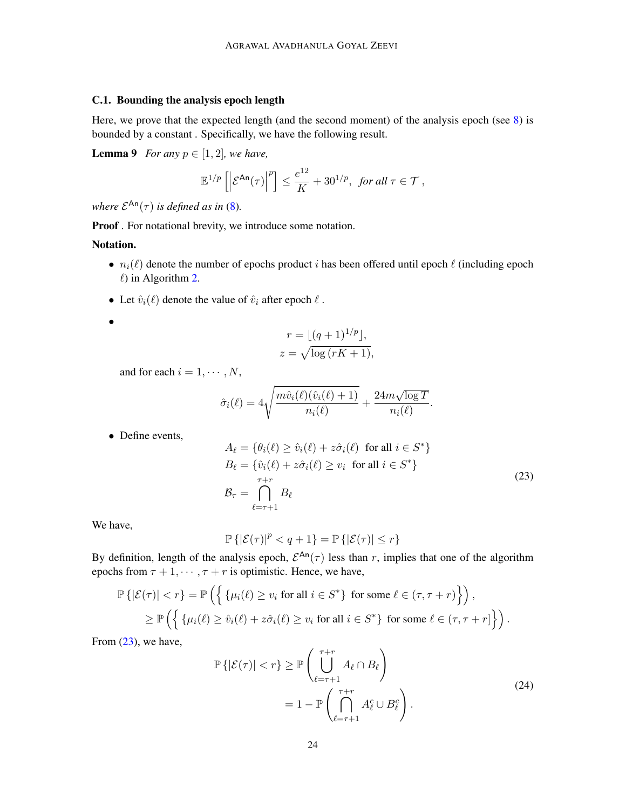# <span id="page-23-0"></span>C.1. Bounding the analysis epoch length

Here, we prove that the expected length (and the second moment) of the analysis epoch (see  $8$ ) is bounded by a constant . Specifically, we have the following result.

**Lemma 9** *For any*  $p \in [1, 2]$ *, we have,* 

<span id="page-23-1"></span>
$$
\mathbb{E}^{1/p}\left[\left|\mathcal{E}^{\mathrm{An}}(\tau)\right|^{p}\right] \leq \frac{e^{12}}{K} + 30^{1/p}, \text{ for all } \tau \in \mathcal{T},
$$

*where*  $\mathcal{E}^{\mathsf{An}}(\tau)$  *is defined as in* [\(8\)](#page-18-2).

Proof . For notational brevity, we introduce some notation.

# Notation.

•

- $n_i(\ell)$  denote the number of epochs product i has been offered until epoch  $\ell$  (including epoch  $\ell$ ) in Algorithm [2.](#page-8-1)
- Let  $\hat{v}_i(\ell)$  denote the value of  $\hat{v}_i$  after epoch  $\ell$ .

$$
r = \lfloor (q+1)^{1/p} \rfloor,
$$
  

$$
z = \sqrt{\log(rK+1)},
$$

and for each  $i = 1, \dots, N$ ,

$$
\hat{\sigma}_i(\ell) = 4\sqrt{\frac{m\hat{v}_i(\ell)(\hat{v}_i(\ell) + 1)}{n_i(\ell)}} + \frac{24m\sqrt{\log T}}{n_i(\ell)}
$$

• Define events,

<span id="page-23-2"></span>
$$
A_{\ell} = \{ \theta_i(\ell) \ge \hat{v}_i(\ell) + z\hat{\sigma}_i(\ell) \text{ for all } i \in S^* \}
$$
  
\n
$$
B_{\ell} = \{ \hat{v}_i(\ell) + z\hat{\sigma}_i(\ell) \ge v_i \text{ for all } i \in S^* \}
$$
  
\n
$$
\mathcal{B}_{\tau} = \bigcap_{\ell = \tau + 1}^{\tau + r} B_{\ell}
$$
\n(23)

.

We have,

$$
\mathbb{P}\left\{|\mathcal{E}(\tau)|^p < q+1\right\} = \mathbb{P}\left\{|\mathcal{E}(\tau)| \leq r\right\}
$$

By definition, length of the analysis epoch,  $\mathcal{E}^{An}(\tau)$  less than r, implies that one of the algorithm epochs from  $\tau + 1, \dots, \tau + r$  is optimistic. Hence, we have,

$$
\mathbb{P}\left\{|\mathcal{E}(\tau)| < r\right\} = \mathbb{P}\left(\left\{\left\{\mu_i(\ell) \ge v_i \text{ for all } i \in S^*\right\} \text{ for some } \ell \in (\tau, \tau + r)\right\}\right),
$$
\n
$$
\ge \mathbb{P}\left(\left\{\left\{\mu_i(\ell) \ge \hat{v}_i(\ell) + z\hat{\sigma}_i(\ell) \ge v_i \text{ for all } i \in S^*\right\} \text{ for some } \ell \in (\tau, \tau + r]\right\}\right).
$$

From  $(23)$ , we have,

<span id="page-23-3"></span>
$$
\mathbb{P}\left\{|\mathcal{E}(\tau)| < r\right\} \ge \mathbb{P}\left(\bigcup_{\ell=\tau+1}^{\tau+r} A_{\ell} \cap B_{\ell}\right) \\
= 1 - \mathbb{P}\left(\bigcap_{\ell=\tau+1}^{\tau+r} A_{\ell}^c \cup B_{\ell}^c\right).
$$
\n
$$
(24)
$$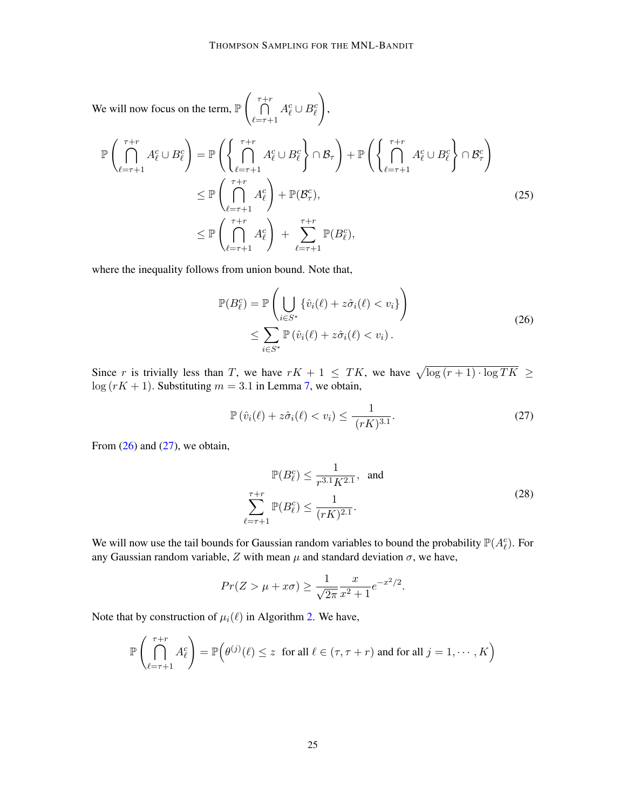We will now focus on the term,  $\mathbb P$  $\begin{pmatrix} \tau+r \\ 0 \end{pmatrix}$  $_{\ell=\tau+1}$  $A_\ell^c \cup B_\ell^c$  $\setminus$ 

<span id="page-24-2"></span>
$$
\mathbb{P}\left(\bigcap_{\ell=\tau+1}^{\tau+r} A_{\ell}^{c} \cup B_{\ell}^{c}\right) = \mathbb{P}\left(\left\{\bigcap_{\ell=\tau+1}^{\tau+r} A_{\ell}^{c} \cup B_{\ell}^{c}\right\} \cap \mathcal{B}_{\tau}\right) + \mathbb{P}\left(\left\{\bigcap_{\ell=\tau+1}^{\tau+r} A_{\ell}^{c} \cup B_{\ell}^{c}\right\} \cap \mathcal{B}_{\tau}^{c}\right) \n\leq \mathbb{P}\left(\bigcap_{\ell=\tau+1}^{\tau+r} A_{\ell}^{c}\right) + \mathbb{P}(\mathcal{B}_{\tau}^{c}),
$$
\n
$$
\leq \mathbb{P}\left(\bigcap_{\ell=\tau+1}^{\tau+r} A_{\ell}^{c}\right) + \sum_{\ell=\tau+1}^{\tau+r} \mathbb{P}(B_{\ell}^{c}),
$$
\n(25)

,

where the inequality follows from union bound. Note that,

<span id="page-24-0"></span>
$$
\mathbb{P}(B_{\ell}^{c}) = \mathbb{P}\left(\bigcup_{i \in S^{*}} \{\hat{v}_{i}(\ell) + z\hat{\sigma}_{i}(\ell) < v_{i}\}\right) \leq \sum_{i \in S^{*}} \mathbb{P}\left(\hat{v}_{i}(\ell) + z\hat{\sigma}_{i}(\ell) < v_{i}\right).
$$
\n
$$
(26)
$$

Since r is trivially less than T, we have  $rK + 1 \leq TK$ , we have  $\sqrt{\log(r+1) \cdot \log TK} \geq$  $\log(rK + 1)$ . Substituting  $m = 3.1$  in Lemma [7,](#page-16-2) we obtain,

<span id="page-24-1"></span>
$$
\mathbb{P}\left(\hat{v}_i(\ell) + z\hat{\sigma}_i(\ell) < v_i\right) \le \frac{1}{(rK)^{3.1}}.\tag{27}
$$

From  $(26)$  and  $(27)$ , we obtain,

<span id="page-24-3"></span>
$$
\mathbb{P}(B_{\ell}^{c}) \leq \frac{1}{r^{3.1}K^{2.1}}, \text{ and}
$$
\n
$$
\sum_{\ell=\tau+1}^{\tau+r} \mathbb{P}(B_{\ell}^{c}) \leq \frac{1}{(rK)^{2.1}}.
$$
\n(28)

We will now use the tail bounds for Gaussian random variables to bound the probability  $\mathbb{P}(A_{\ell}^c)$ . For any Gaussian random variable, Z with mean  $\mu$  and standard deviation  $\sigma$ , we have,

$$
Pr(Z > \mu + x\sigma) \ge \frac{1}{\sqrt{2\pi}} \frac{x}{x^2 + 1} e^{-x^2/2}.
$$

Note that by construction of  $\mu_i(\ell)$  in Algorithm [2.](#page-8-1) We have,

$$
\mathbb{P}\left(\bigcap_{\ell=\tau+1}^{\tau+r} A_{\ell}^{c}\right) = \mathbb{P}\left(\theta^{(j)}(\ell) \leq z \text{ for all } \ell \in (\tau, \tau+r) \text{ and for all } j=1,\cdots,K\right)
$$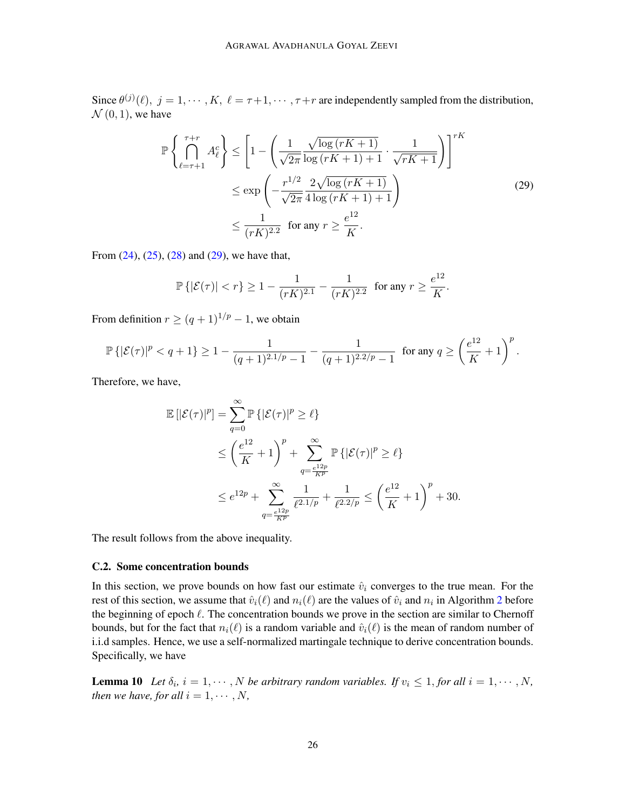Since  $\theta^{(j)}(\ell), j = 1, \cdots, K, \ell = \tau + 1, \cdots, \tau + r$  are independently sampled from the distribution,  $\mathcal{N}(0, 1)$ , we have

<span id="page-25-0"></span>
$$
\mathbb{P}\left\{\bigcap_{\ell=\tau+1}^{\tau+r} A_{\ell}^{c}\right\} \leq \left[1 - \left(\frac{1}{\sqrt{2\pi}} \frac{\sqrt{\log(rK+1)}}{\log(rK+1)+1} \cdot \frac{1}{\sqrt{rK+1}}\right)\right]^{rK}
$$
  

$$
\leq \exp\left(-\frac{r^{1/2}}{\sqrt{2\pi}} \frac{2\sqrt{\log(rK+1)}}{4\log(rK+1)+1}\right)
$$
 (29)  

$$
\leq \frac{1}{(rK)^{2.2}} \text{ for any } r \geq \frac{e^{12}}{K}.
$$

From  $(24)$ ,  $(25)$ ,  $(28)$  and  $(29)$ , we have that,

$$
\mathbb{P}\left\{|\mathcal{E}(\tau)| < r\right\} \ge 1 - \frac{1}{(rK)^{2.1}} - \frac{1}{(rK)^{2.2}} \quad \text{for any } r \ge \frac{e^{12}}{K}.
$$

From definition  $r \ge (q+1)^{1/p} - 1$ , we obtain

$$
\mathbb{P}\left\{|\mathcal{E}(\tau)|^p < q+1\right\} \ge 1 - \frac{1}{(q+1)^{2.1/p} - 1} - \frac{1}{(q+1)^{2.2/p} - 1} \text{ for any } q \ge \left(\frac{e^{12}}{K} + 1\right)^p.
$$

Therefore, we have,

$$
\mathbb{E}\left[|\mathcal{E}(\tau)|^p\right] = \sum_{q=0}^{\infty} \mathbb{P}\left\{|\mathcal{E}(\tau)|^p \ge \ell\right\}
$$
  
\n
$$
\le \left(\frac{e^{12}}{K} + 1\right)^p + \sum_{q=\frac{e^{12p}}{K^p}}^{\infty} \mathbb{P}\left\{|\mathcal{E}(\tau)|^p \ge \ell\right\}
$$
  
\n
$$
\le e^{12p} + \sum_{q=\frac{e^{12p}}{K^p}}^{\infty} \frac{1}{\ell^{2.1/p}} + \frac{1}{\ell^{2.2/p}} \le \left(\frac{e^{12}}{K} + 1\right)^p + 30.
$$

The result follows from the above inequality.

### C.2. Some concentration bounds

In this section, we prove bounds on how fast our estimate  $\hat{v}_i$  converges to the true mean. For the rest of this section, we assume that  $\hat{v}_i(\ell)$  and  $n_i(\ell)$  are the values of  $\hat{v}_i$  and  $n_i$  in Algorithm [2](#page-8-1) before the beginning of epoch  $\ell$ . The concentration bounds we prove in the section are similar to Chernoff bounds, but for the fact that  $n_i(\ell)$  is a random variable and  $\hat{v}_i(\ell)$  is the mean of random number of i.i.d samples. Hence, we use a self-normalized martingale technique to derive concentration bounds. Specifically, we have

<span id="page-25-1"></span>**Lemma 10** Let  $\delta_i$ ,  $i = 1, \dots, N$  be arbitrary random variables. If  $v_i \leq 1$ , for all  $i = 1, \dots, N$ , *then we have, for all*  $i = 1, \dots, N$ ,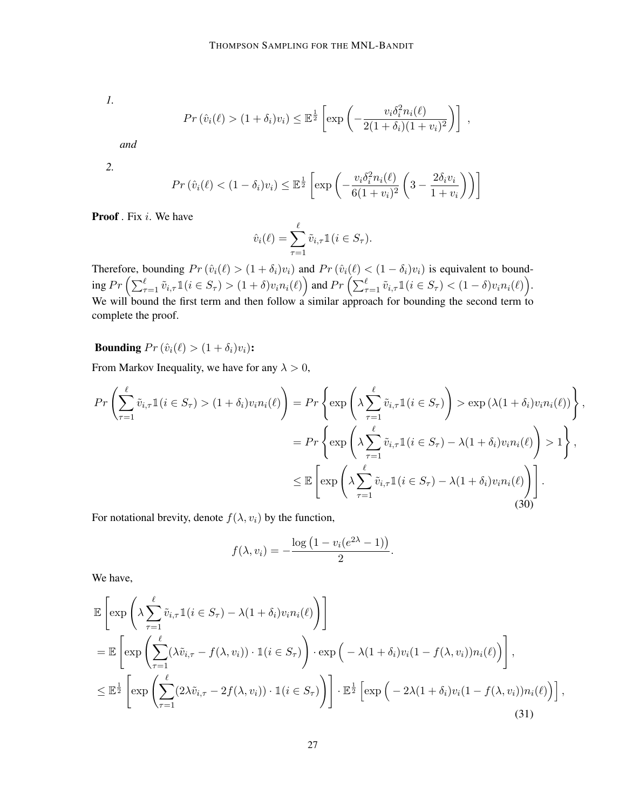*1.*

$$
Pr\left(\hat{v}_i(\ell) > (1+\delta_i)v_i\right) \leq \mathbb{E}^{\frac{1}{2}}\left[\exp\left(-\frac{v_i\delta_i^2 n_i(\ell)}{2(1+\delta_i)(1+v_i)^2}\right)\right],
$$

*and*

*2.*

$$
Pr\left(\hat{v}_i(\ell) < (1 - \delta_i)v_i\right) \leq \mathbb{E}^{\frac{1}{2}} \left[ \exp\left(-\frac{v_i \delta_i^2 n_i(\ell)}{6(1 + v_i)^2} \left(3 - \frac{2\delta_i v_i}{1 + v_i}\right)\right) \right]
$$

Proof . Fix *i*. We have

$$
\hat{v}_i(\ell) = \sum_{\tau=1}^{\ell} \tilde{v}_{i,\tau} \mathbb{1}(i \in S_{\tau}).
$$

Therefore, bounding  $Pr(\hat{v}_i(\ell) > (1 + \delta_i)v_i)$  and  $Pr(\hat{v}_i(\ell) < (1 - \delta_i)v_i)$  is equivalent to bound- $\text{ing }Pr\Big(\sum_{\tau=1}^\ell \tilde v_{i,\tau}1\mathbb{1}(i\in S_\tau)>(1+\delta)v_in_i(\ell)\Big) \text{ and }Pr\Big(\sum_{\tau=1}^\ell \tilde v_{i,\tau}1\mathbb{1}(i\in S_\tau) < (1-\delta)v_in_i(\ell)\Big).$ We will bound the first term and then follow a similar approach for bounding the second term to complete the proof.

**Bounding**  $Pr(\hat{v}_i(\ell) > (1 + \delta_i)v_i)$ :

From Markov Inequality, we have for any  $\lambda > 0$ ,

<span id="page-26-0"></span>
$$
Pr\left(\sum_{\tau=1}^{\ell} \tilde{v}_{i,\tau} \mathbb{1}(i \in S_{\tau}) > (1+\delta_{i})v_{i}n_{i}(\ell)\right) = Pr\left\{\exp\left(\lambda \sum_{\tau=1}^{\ell} \tilde{v}_{i,\tau} \mathbb{1}(i \in S_{\tau})\right) > \exp\left(\lambda(1+\delta_{i})v_{i}n_{i}(\ell)\right)\right\},
$$
  

$$
= Pr\left\{\exp\left(\lambda \sum_{\tau=1}^{\ell} \tilde{v}_{i,\tau} \mathbb{1}(i \in S_{\tau}) - \lambda(1+\delta_{i})v_{i}n_{i}(\ell)\right) > 1\right\},
$$
  

$$
\leq \mathbb{E}\left[\exp\left(\lambda \sum_{\tau=1}^{\ell} \tilde{v}_{i,\tau} \mathbb{1}(i \in S_{\tau}) - \lambda(1+\delta_{i})v_{i}n_{i}(\ell)\right)\right].
$$
 (30)

For notational brevity, denote  $f(\lambda, v_i)$  by the function,

$$
f(\lambda, v_i) = -\frac{\log (1 - v_i(e^{2\lambda} - 1))}{2}.
$$

We have,

<span id="page-26-1"></span>
$$
\mathbb{E}\left[\exp\left(\lambda \sum_{\tau=1}^{\ell} \tilde{v}_{i,\tau} \mathbb{1}(i \in S_{\tau}) - \lambda(1+\delta_{i})v_{i}n_{i}(\ell)\right)\right]
$$
\n
$$
= \mathbb{E}\left[\exp\left(\sum_{\tau=1}^{\ell} (\lambda \tilde{v}_{i,\tau} - f(\lambda, v_{i})) \cdot \mathbb{1}(i \in S_{\tau})\right) \cdot \exp\left(-\lambda(1+\delta_{i})v_{i}(1-f(\lambda, v_{i}))n_{i}(\ell)\right)\right],
$$
\n
$$
\leq \mathbb{E}^{\frac{1}{2}}\left[\exp\left(\sum_{\tau=1}^{\ell} (2\lambda \tilde{v}_{i,\tau} - 2f(\lambda, v_{i})) \cdot \mathbb{1}(i \in S_{\tau})\right)\right] \cdot \mathbb{E}^{\frac{1}{2}}\left[\exp\left(-2\lambda(1+\delta_{i})v_{i}(1-f(\lambda, v_{i}))n_{i}(\ell)\right)\right],
$$
\n(31)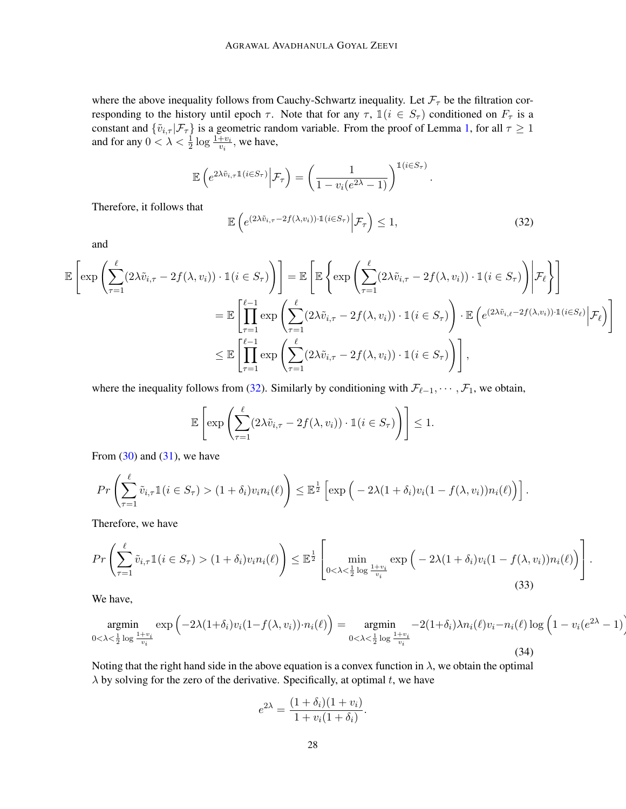where the above inequality follows from Cauchy-Schwartz inequality. Let  $\mathcal{F}_{\tau}$  be the filtration corresponding to the history until epoch  $\tau$ . Note that for any  $\tau$ ,  $\mathbb{1}(i \in S_{\tau})$  conditioned on  $F_{\tau}$  is a constant and  $\{\tilde{v}_{i,\tau} | \mathcal{F}_{\tau}\}\$  is a geometric random variable. From the proof of Lemma [1,](#page-6-1) for all  $\tau \ge 1$ and for any  $0 < \lambda < \frac{1}{2} \log \frac{1+v_i}{v_i}$ , we have,

$$
\mathbb{E}\left(e^{2\lambda\tilde{v}_{i,\tau}\mathbb{1}(i\in S_{\tau})}\Big|\mathcal{F}_{\tau}\right)=\left(\frac{1}{1-v_i(e^{2\lambda}-1)}\right)^{\mathbb{1}(i\in S_{\tau})}.
$$

Therefore, it follows that

<span id="page-27-0"></span>
$$
\mathbb{E}\left(e^{(2\lambda\tilde{v}_{i,\tau}-2f(\lambda,v_i))\cdot 1(i\in S_{\tau})}\bigg|\mathcal{F}_{\tau}\right)\leq 1,\tag{32}
$$

and

$$
\mathbb{E}\left[\exp\left(\sum_{\tau=1}^{\ell} (2\lambda \tilde{v}_{i,\tau} - 2f(\lambda, v_i)) \cdot \mathbb{1}(i \in S_{\tau})\right)\right] = \mathbb{E}\left[\mathbb{E}\left\{\exp\left(\sum_{\tau=1}^{\ell} (2\lambda \tilde{v}_{i,\tau} - 2f(\lambda, v_i)) \cdot \mathbb{1}(i \in S_{\tau})\right) \Big| \mathcal{F}_{\ell}\right\}\right]
$$

$$
= \mathbb{E}\left[\prod_{\tau=1}^{\ell-1} \exp\left(\sum_{\tau=1}^{\ell} (2\lambda \tilde{v}_{i,\tau} - 2f(\lambda, v_i)) \cdot \mathbb{1}(i \in S_{\tau})\right) \cdot \mathbb{E}\left(e^{(2\lambda \tilde{v}_{i,\ell} - 2f(\lambda, v_i)) \cdot \mathbb{1}(i \in S_{\ell})}\Big| \mathcal{F}_{\ell}\right)\right]
$$

$$
\leq \mathbb{E}\left[\prod_{\tau=1}^{\ell-1} \exp\left(\sum_{\tau=1}^{\ell} (2\lambda \tilde{v}_{i,\tau} - 2f(\lambda, v_i)) \cdot \mathbb{1}(i \in S_{\tau})\right)\right],
$$

where the inequality follows from [\(32\)](#page-27-0). Similarly by conditioning with  $\mathcal{F}_{\ell-1}, \cdots, \mathcal{F}_1$ , we obtain,

$$
\mathbb{E}\left[\exp\left(\sum_{\tau=1}^{\ell} (2\lambda \tilde{v}_{i,\tau} - 2f(\lambda, v_i)) \cdot \mathbb{1}(i \in S_{\tau})\right)\right] \leq 1.
$$

From  $(30)$  and  $(31)$ , we have

$$
Pr\left(\sum_{\tau=1}^{\ell} \tilde{v}_{i,\tau} \mathbb{1}(i \in S_{\tau}) > (1+\delta_i) v_i n_i(\ell)\right) \leq \mathbb{E}^{\frac{1}{2}}\left[\exp\left(-2\lambda(1+\delta_i) v_i(1-f(\lambda, v_i)) n_i(\ell)\right)\right].
$$

Therefore, we have

<span id="page-27-1"></span>
$$
Pr\left(\sum_{\tau=1}^{\ell} \tilde{v}_{i,\tau} \mathbb{1}(i \in S_{\tau}) > (1+\delta_{i})v_{i}n_{i}(\ell)\right) \leq \mathbb{E}^{\frac{1}{2}}\left[\min_{0<\lambda<\frac{1}{2}\log\frac{1+v_{i}}{v_{i}}} \exp\left(-2\lambda(1+\delta_{i})v_{i}(1-f(\lambda,v_{i}))n_{i}(\ell)\right)\right].
$$
\n(33)

We have,

$$
\underset{0 < \lambda < \frac{1}{2} \log \frac{1+v_i}{v_i}}{\text{argmin}} \exp\left(-2\lambda(1+\delta_i)v_i(1-f(\lambda, v_i)) \cdot n_i(\ell)\right) = \underset{0 < \lambda < \frac{1}{2} \log \frac{1+v_i}{v_i}}{\text{argmin}} -2(1+\delta_i)\lambda n_i(\ell)v_i - n_i(\ell) \log\left(1 - v_i(e^{2\lambda} - 1)\right)
$$
\n
$$
(34)
$$

Noting that the right hand side in the above equation is a convex function in  $\lambda$ , we obtain the optimal  $\lambda$  by solving for the zero of the derivative. Specifically, at optimal t, we have

$$
e^{2\lambda} = \frac{(1+\delta_i)(1+v_i)}{1+v_i(1+\delta_i)}.
$$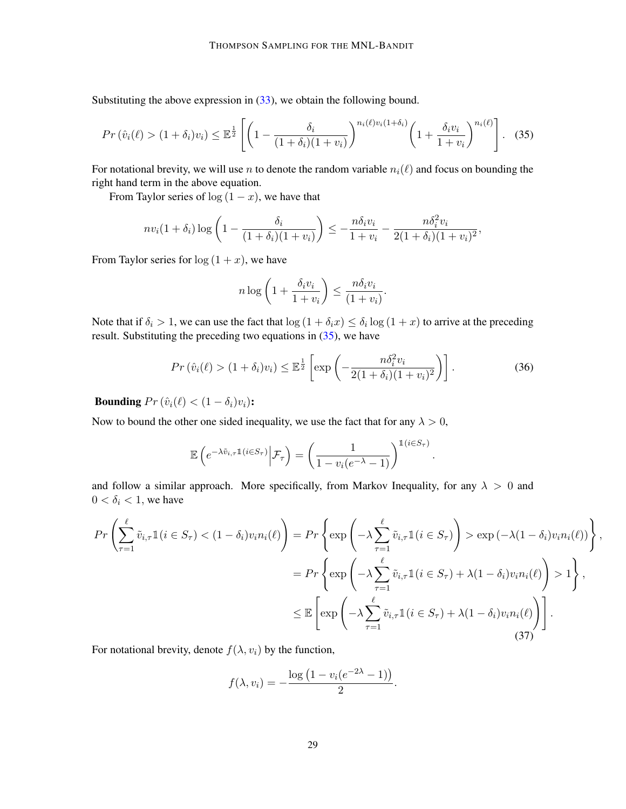Substituting the above expression in [\(33\)](#page-27-1), we obtain the following bound.

<span id="page-28-0"></span>
$$
Pr\left(\hat{v}_i(\ell) > (1+\delta_i)v_i\right) \leq \mathbb{E}^{\frac{1}{2}}\left[\left(1 - \frac{\delta_i}{(1+\delta_i)(1+v_i)}\right)^{n_i(\ell)v_i(1+\delta_i)}\left(1 + \frac{\delta_i v_i}{1+v_i}\right)^{n_i(\ell)}\right].
$$
 (35)

For notational brevity, we will use n to denote the random variable  $n_i(\ell)$  and focus on bounding the right hand term in the above equation.

From Taylor series of  $log(1 - x)$ , we have that

$$
nv_i(1+\delta_i)\log\left(1-\frac{\delta_i}{(1+\delta_i)(1+v_i)}\right)\leq -\frac{n\delta_iv_i}{1+v_i}-\frac{n\delta_i^2v_i}{2(1+\delta_i)(1+v_i)^2},
$$

From Taylor series for  $log(1 + x)$ , we have

$$
n \log \left( 1 + \frac{\delta_i v_i}{1 + v_i} \right) \le \frac{n \delta_i v_i}{(1 + v_i)}.
$$

Note that if  $\delta_i > 1$ , we can use the fact that  $\log(1 + \delta_i x) \leq \delta_i \log(1 + x)$  to arrive at the preceding result. Substituting the preceding two equations in [\(35\)](#page-28-0), we have

<span id="page-28-2"></span>
$$
Pr\left(\hat{v}_i(\ell) > (1+\delta_i)v_i\right) \le \mathbb{E}^{\frac{1}{2}}\left[\exp\left(-\frac{n\delta_i^2 v_i}{2(1+\delta_i)(1+v_i)^2}\right)\right].\tag{36}
$$

**Bounding**  $Pr(\hat{v}_i(\ell) < (1 - \delta_i)v_i)$ :

Now to bound the other one sided inequality, we use the fact that for any  $\lambda > 0$ ,

$$
\mathbb{E}\left(e^{-\lambda \tilde{v}_{i,\tau}\mathbb{1}(i\in S_{\tau})}\Big| \mathcal{F}_{\tau}\right) = \left(\frac{1}{1 - v_i(e^{-\lambda} - 1)}\right)^{\mathbb{1}(i\in S_{\tau})}.
$$

and follow a similar approach. More specifically, from Markov Inequality, for any  $\lambda > 0$  and  $0 < \delta_i < 1$ , we have

<span id="page-28-1"></span>
$$
Pr\left(\sum_{\tau=1}^{\ell} \tilde{v}_{i,\tau} \mathbb{1}(i \in S_{\tau}) < (1 - \delta_{i})v_{i}n_{i}(\ell)\right) = Pr\left\{\exp\left(-\lambda \sum_{\tau=1}^{\ell} \tilde{v}_{i,\tau} \mathbb{1}(i \in S_{\tau})\right) > \exp\left(-\lambda(1 - \delta_{i})v_{i}n_{i}(\ell)\right)\right\}
$$

$$
= Pr\left\{\exp\left(-\lambda \sum_{\tau=1}^{\ell} \tilde{v}_{i,\tau} \mathbb{1}(i \in S_{\tau}) + \lambda(1 - \delta_{i})v_{i}n_{i}(\ell)\right) > 1\right\},
$$

$$
\leq \mathbb{E}\left[\exp\left(-\lambda \sum_{\tau=1}^{\ell} \tilde{v}_{i,\tau} \mathbb{1}(i \in S_{\tau}) + \lambda(1 - \delta_{i})v_{i}n_{i}(\ell)\right)\right].
$$
(37)

,

For notational brevity, denote  $f(\lambda, v_i)$  by the function,

$$
f(\lambda, v_i) = -\frac{\log (1 - v_i(e^{-2\lambda} - 1))}{2}.
$$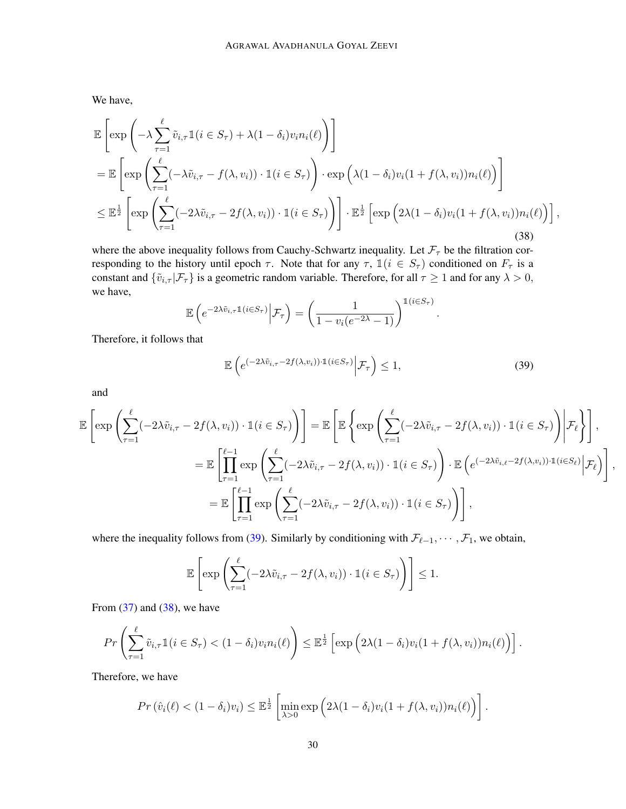We have,

<span id="page-29-1"></span>
$$
\mathbb{E}\left[\exp\left(-\lambda \sum_{\tau=1}^{\ell} \tilde{v}_{i,\tau} \mathbb{1}(i \in S_{\tau}) + \lambda (1-\delta_{i}) v_{i} n_{i}(\ell)\right)\right]
$$
\n
$$
= \mathbb{E}\left[\exp\left(\sum_{\tau=1}^{\ell} (-\lambda \tilde{v}_{i,\tau} - f(\lambda, v_{i})) \cdot \mathbb{1}(i \in S_{\tau})\right) \cdot \exp\left(\lambda (1-\delta_{i}) v_{i} (1+f(\lambda, v_{i})) n_{i}(\ell)\right)\right]
$$
\n
$$
\leq \mathbb{E}^{\frac{1}{2}}\left[\exp\left(\sum_{\tau=1}^{\ell} (-2\lambda \tilde{v}_{i,\tau} - 2f(\lambda, v_{i})) \cdot \mathbb{1}(i \in S_{\tau})\right)\right] \cdot \mathbb{E}^{\frac{1}{2}}\left[\exp\left(2\lambda (1-\delta_{i}) v_{i} (1+f(\lambda, v_{i})) n_{i}(\ell)\right)\right],
$$
\n(38)

where the above inequality follows from Cauchy-Schwartz inequality. Let  $\mathcal{F}_{\tau}$  be the filtration corresponding to the history until epoch  $\tau$ . Note that for any  $\tau$ ,  $\mathbb{1}(i \in S_{\tau})$  conditioned on  $F_{\tau}$  is a constant and  $\{\tilde{v}_{i,\tau} | \mathcal{F}_{\tau}\}\$  is a geometric random variable. Therefore, for all  $\tau \geq 1$  and for any  $\lambda > 0$ , we have,

$$
\mathbb{E}\left(e^{-2\lambda\tilde{v}_{i,\tau}\mathbb{1}(i\in S_{\tau})}\Big| \mathcal{F}_{\tau}\right) = \left(\frac{1}{1 - v_i(e^{-2\lambda} - 1)}\right)^{\mathbb{1}(i\in S_{\tau})}.
$$

Therefore, it follows that

<span id="page-29-0"></span>
$$
\mathbb{E}\left(e^{(-2\lambda\tilde{v}_{i,\tau}-2f(\lambda,v_i))\cdot 1(i\in S_{\tau})}\bigg|\mathcal{F}_{\tau}\right)\leq 1,\tag{39}
$$

and

$$
\mathbb{E}\left[\exp\left(\sum_{\tau=1}^{\ell}(-2\lambda\tilde{v}_{i,\tau}-2f(\lambda,v_i))\cdot\mathbb{1}(i\in S_{\tau})\right)\right]=\mathbb{E}\left[\mathbb{E}\left\{\exp\left(\sum_{\tau=1}^{\ell}(-2\lambda\tilde{v}_{i,\tau}-2f(\lambda,v_i))\cdot\mathbb{1}(i\in S_{\tau})\right)\bigg|\mathcal{F}_{\ell}\right\}\right],
$$
  
\n
$$
=\mathbb{E}\left[\prod_{\tau=1}^{\ell-1}\exp\left(\sum_{\tau=1}^{\ell}(-2\lambda\tilde{v}_{i,\tau}-2f(\lambda,v_i))\cdot\mathbb{1}(i\in S_{\tau})\right)\cdot\mathbb{E}\left(e^{(-2\lambda\tilde{v}_{i,\ell}-2f(\lambda,v_i))\cdot\mathbb{1}(i\in S_{\ell})}\bigg|\mathcal{F}_{\ell}\right)\right],
$$
  
\n
$$
=\mathbb{E}\left[\prod_{\tau=1}^{\ell-1}\exp\left(\sum_{\tau=1}^{\ell}(-2\lambda\tilde{v}_{i,\tau}-2f(\lambda,v_i))\cdot\mathbb{1}(i\in S_{\tau})\right)\right],
$$

where the inequality follows from [\(39\)](#page-29-0). Similarly by conditioning with  $\mathcal{F}_{\ell-1}, \cdots, \mathcal{F}_1$ , we obtain,

$$
\mathbb{E}\left[\exp\left(\sum_{\tau=1}^{\ell}(-2\lambda\tilde{v}_{i,\tau}-2f(\lambda,v_i))\cdot\mathbb{1}(i\in S_{\tau})\right)\right]\leq 1.
$$

From  $(37)$  and  $(38)$ , we have

$$
Pr\left(\sum_{\tau=1}^{\ell} \tilde{v}_{i,\tau} 1(i \in S_{\tau}) < (1-\delta_i) v_i n_i(\ell)\right) \leq \mathbb{E}^{\frac{1}{2}}\left[\exp\left(2\lambda(1-\delta_i) v_i(1+f(\lambda, v_i)) n_i(\ell)\right)\right].
$$

Therefore, we have

$$
Pr(\hat{v}_i(\ell) < (1 - \delta_i)v_i) \leq \mathbb{E}^{\frac{1}{2}} \left[ \min_{\lambda > 0} \exp\left(2\lambda(1 - \delta_i)v_i(1 + f(\lambda, v_i))n_i(\ell)\right) \right].
$$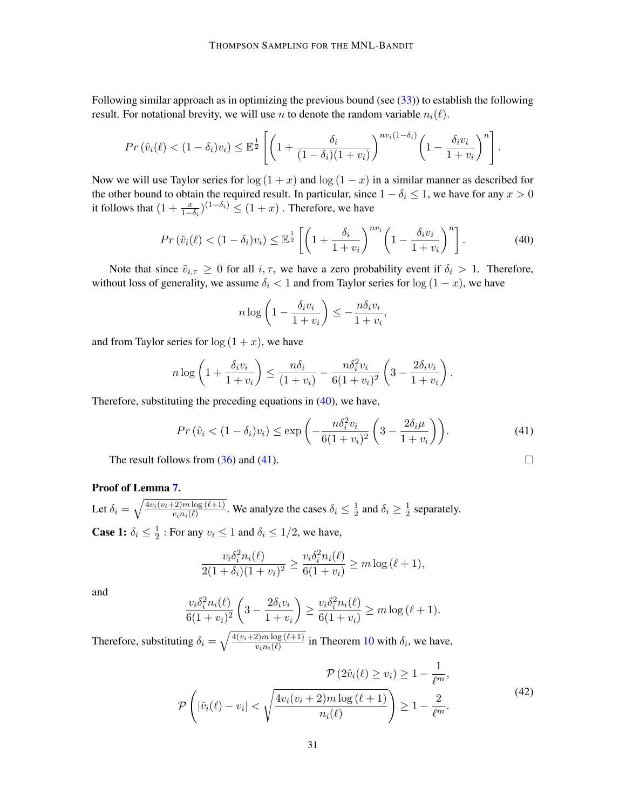Following similar approach as in optimizing the previous bound (see  $(33)$ ) to establish the following result. For notational brevity, we will use *n* to denote the random variable  $n_i(\ell)$ .

$$
Pr\left(\hat{v}_i(\ell) < (1-\delta_i)v_i\right) \leq \mathbb{E}^{\frac{1}{2}}\left[\left(1 + \frac{\delta_i}{(1-\delta_i)(1+v_i)}\right)^{nv_i(1-\delta_i)}\left(1 - \frac{\delta_i v_i}{1+v_i}\right)^n\right].
$$

Now we will use Taylor series for  $\log(1 + x)$  and  $\log(1 - x)$  in a similar manner as described for the other bound to obtain the required result. In particular, since  $1 - \delta_i \leq 1$ , we have for any  $x > 0$ it follows that  $(1 + \frac{x}{1 - \delta_i})^{(1 - \delta_i)} \le (1 + x)$ . Therefore, we have

<span id="page-30-0"></span>
$$
Pr\left(\hat{v}_i(\ell) < (1 - \delta_i)v_i\right) \le \mathbb{E}^{\frac{1}{2}} \left[ \left(1 + \frac{\delta_i}{1 + v_i}\right)^{nv_i} \left(1 - \frac{\delta_i v_i}{1 + v_i}\right)^n \right].\tag{40}
$$

Note that since  $\tilde{v}_{i,\tau} \geq 0$  for all  $i, \tau$ , we have a zero probability event if  $\delta_i > 1$ . Therefore, without loss of generality, we assume  $\delta_i < 1$  and from Taylor series for  $\log (1 - x)$ , we have

$$
n \log \left( 1 - \frac{\delta_i v_i}{1 + v_i} \right) \le -\frac{n \delta_i v_i}{1 + v_i},
$$

and from Taylor series for  $log(1 + x)$ , we have

$$
n \log \left( 1 + \frac{\delta_i v_i}{1 + v_i} \right) \le \frac{n \delta_i}{(1 + v_i)} - \frac{n \delta_i^2 v_i}{6(1 + v_i)^2} \left( 3 - \frac{2 \delta_i v_i}{1 + v_i} \right).
$$

Therefore, substituting the preceding equations in  $(40)$ , we have,

<span id="page-30-1"></span>
$$
Pr\left(\hat{v}_i < (1 - \delta_i)v_i\right) \le \exp\left(-\frac{n\delta_i^2 v_i}{6(1 + v_i)^2} \left(3 - \frac{2\delta_i \mu}{1 + v_i}\right)\right). \tag{41}
$$

The result follows from  $(36)$  and  $(41)$ .

### Proof of Lemma [7.](#page-16-2)

Let  $\delta_i = \sqrt{\frac{4v_i(v_i+2)m \log{(\ell+1)}}{v_i w_i(\ell)}}$  $\frac{(-2)m\log(\ell+1)}{v_in_i(\ell)}$ . We analyze the cases  $\delta_i \leq \frac{1}{2}$  $\frac{1}{2}$  and  $\delta_i \geq \frac{1}{2}$  $\frac{1}{2}$  separately. **Case 1:**  $\delta_i \leq \frac{1}{2}$  $\frac{1}{2}$ : For any  $v_i \leq 1$  and  $\delta_i \leq 1/2$ , we have,

$$
\frac{v_i \delta_i^2 n_i(\ell)}{2(1+\delta_i)(1+v_i)^2} \ge \frac{v_i \delta_i^2 n_i(\ell)}{6(1+v_i)} \ge m \log (\ell+1),
$$

and

$$
\frac{v_i \delta_i^2 n_i(\ell)}{6(1 + v_i)^2} \left(3 - \frac{2\delta_i v_i}{1 + v_i}\right) \ge \frac{v_i \delta_i^2 n_i(\ell)}{6(1 + v_i)} \ge m \log (\ell + 1).
$$

Therefore, substituting  $\delta_i = \sqrt{\frac{4(v_i+2)m \log (\ell+1)}{v_i n_i(\ell)}}$  $\frac{\partial z}{\partial m} \frac{\partial w}{\partial (k+1)}$  in Theorem [10](#page-25-1) with  $\delta_i$ , we have,

$$
\mathcal{P}\left(2\hat{v}_i(\ell) \ge v_i\right) \ge 1 - \frac{1}{\ell^m},
$$
\n
$$
\mathcal{P}\left(|\hat{v}_i(\ell) - v_i| < \sqrt{\frac{4v_i(v_i + 2)m\log(\ell + 1)}{n_i(\ell)}}\right) \ge 1 - \frac{2}{\ell^m}.\tag{42}
$$